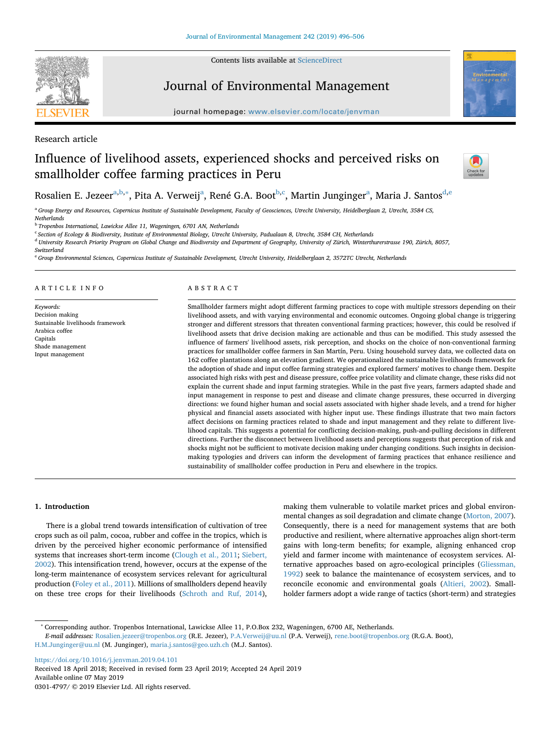Contents lists available at [ScienceDirect](http://www.sciencedirect.com/science/journal/03014797)



## Journal of Environmental Management

journal homepage: [www.elsevier.com/locate/jenvman](https://www.elsevier.com/locate/jenvman)

Research article

# Influence of livelihood assets, experienced shocks and perceived risks on smallholder coffee farming practices in Peru



Rosalien E. Jezeer<sup>a,[b](#page-0-1),</sup>\*, Pita A. Verweij<sup>a</sup>, René G.A. Boot<sup>b,[c](#page-0-3)</sup>, M[a](#page-0-0)rtin Junginger<sup>a</sup>, Maria J. Santos<sup>[d,](#page-0-4)[e](#page-0-5)</sup>

<span id="page-0-0"></span><sup>a</sup> *Group Energy and Resources, Copernicus Institute of Sustainable Development, Faculty of Geosciences, Utrecht University, Heidelberglaan 2, Utrecht, 3584 CS, Netherlands*

<span id="page-0-1"></span><sup>b</sup> *Tropenbos International, Lawickse Allee 11, Wageningen, 6701 AN, Netherlands*

<span id="page-0-3"></span><sup>c</sup> *Section of Ecology & Biodiversity, Institute of Environmental Biology, Utrecht University, Padualaan 8, Utrecht, 3584 CH, Netherlands*

<span id="page-0-4"></span><sup>d</sup> *University Research Priority Program on Global Change and Biodiversity and Department of Geography, University of Zürich, Winterthurerstrasse 190, Zürich, 8057, Switzerland*

<span id="page-0-5"></span><sup>e</sup> *Group Environmental Sciences, Copernicus Institute of Sustainable Development, Utrecht University, Heidelberglaan 2, 3572TC Utrecht, Netherlands*

#### ARTICLE INFO

*Keywords:* Decision making Sustainable livelihoods framework Arabica coffee Capitals Shade management Input management

#### ABSTRACT

Smallholder farmers might adopt different farming practices to cope with multiple stressors depending on their livelihood assets, and with varying environmental and economic outcomes. Ongoing global change is triggering stronger and different stressors that threaten conventional farming practices; however, this could be resolved if livelihood assets that drive decision making are actionable and thus can be modified. This study assessed the influence of farmers' livelihood assets, risk perception, and shocks on the choice of non-conventional farming practices for smallholder coffee farmers in San Martín, Peru. Using household survey data, we collected data on 162 coffee plantations along an elevation gradient. We operationalized the sustainable livelihoods framework for the adoption of shade and input coffee farming strategies and explored farmers' motives to change them. Despite associated high risks with pest and disease pressure, coffee price volatility and climate change, these risks did not explain the current shade and input farming strategies. While in the past five years, farmers adapted shade and input management in response to pest and disease and climate change pressures, these occurred in diverging directions: we found higher human and social assets associated with higher shade levels, and a trend for higher physical and financial assets associated with higher input use. These findings illustrate that two main factors affect decisions on farming practices related to shade and input management and they relate to different livelihood capitals. This suggests a potential for conflicting decision-making, push-and-pulling decisions in different directions. Further the disconnect between livelihood assets and perceptions suggests that perception of risk and shocks might not be sufficient to motivate decision making under changing conditions. Such insights in decisionmaking typologies and drivers can inform the development of farming practices that enhance resilience and sustainability of smallholder coffee production in Peru and elsewhere in the tropics.

#### **1. Introduction**

There is a global trend towards intensification of cultivation of tree crops such as oil palm, cocoa, rubber and coffee in the tropics, which is driven by the perceived higher economic performance of intensified systems that increases short-term income [\(Clough et al., 2011](#page-9-0); [Siebert,](#page-10-0) [2002\)](#page-10-0). This intensification trend, however, occurs at the expense of the long-term maintenance of ecosystem services relevant for agricultural production [\(Foley et al., 2011\)](#page-9-1). Millions of smallholders depend heavily on these tree crops for their livelihoods [\(Schroth and Ruf, 2014](#page-10-1)), making them vulnerable to volatile market prices and global environmental changes as soil degradation and climate change [\(Morton, 2007](#page-9-2)). Consequently, there is a need for management systems that are both productive and resilient, where alternative approaches align short-term gains with long-term benefits; for example, aligning enhanced crop yield and farmer income with maintenance of ecosystem services. Alternative approaches based on agro-ecological principles ([Gliessman,](#page-9-3) [1992\)](#page-9-3) seek to balance the maintenance of ecosystem services, and to reconcile economic and environmental goals [\(Altieri, 2002\)](#page-9-4). Smallholder farmers adopt a wide range of tactics (short-term) and strategies

<span id="page-0-2"></span><sup>∗</sup> Corresponding author. Tropenbos International, Lawickse Allee 11, P.O.Box 232, Wageningen, 6700 AE, Netherlands.

*E-mail addresses:* [Rosalien.jezeer@tropenbos.org](mailto:Rosalien.jezeer@tropenbos.org) (R.E. Jezeer), [P.A.Verweij@uu.nl](mailto:P.A.Verweij@uu.nl) (P.A. Verweij), [rene.boot@tropenbos.org](mailto:rene.boot@tropenbos.org) (R.G.A. Boot), [H.M.Junginger@uu.nl](mailto:H.M.Junginger@uu.nl) (M. Junginger), [maria.j.santos@geo.uzh.ch](mailto:maria.j.santos@geo.uzh.ch) (M.J. Santos).

<https://doi.org/10.1016/j.jenvman.2019.04.101> Received 18 April 2018; Received in revised form 23 April 2019; Accepted 24 April 2019 Available online 07 May 2019

0301-4797/ © 2019 Elsevier Ltd. All rights reserved.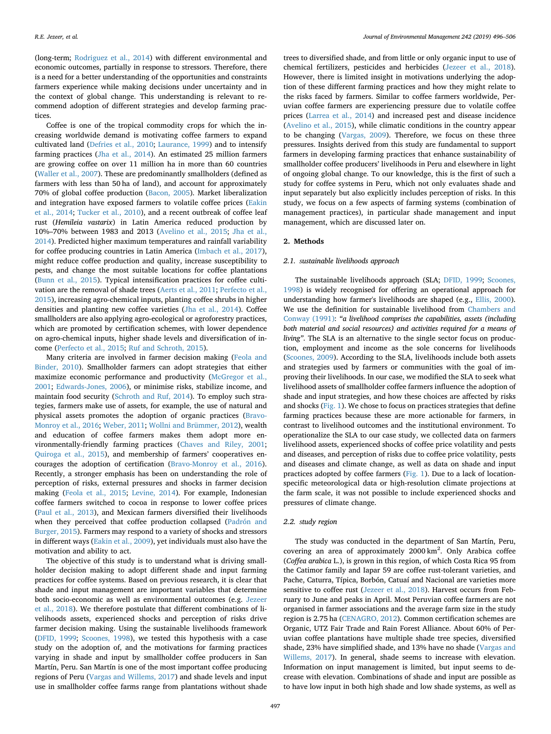(long-term; [Rodriguez et al., 2014\)](#page-10-2) with different environmental and economic outcomes, partially in response to stressors. Therefore, there is a need for a better understanding of the opportunities and constraints farmers experience while making decisions under uncertainty and in the context of global change. This understanding is relevant to recommend adoption of different strategies and develop farming practices.

Coffee is one of the tropical commodity crops for which the increasing worldwide demand is motivating coffee farmers to expand cultivated land ([Defries et al., 2010;](#page-9-5) [Laurance, 1999](#page-9-6)) and to intensify farming practices ([Jha et al., 2014\)](#page-9-7). An estimated 25 million farmers are growing coffee on over 11 million ha in more than 60 countries ([Waller et al., 2007\)](#page-10-3). These are predominantly smallholders (defined as farmers with less than 50 ha of land), and account for approximately 70% of global coffee production ([Bacon, 2005](#page-9-8)). Market liberalization and integration have exposed farmers to volatile coffee prices ([Eakin](#page-9-9) [et al., 2014;](#page-9-9) [Tucker et al., 2010](#page-10-4)), and a recent outbreak of coffee leaf rust (*Hemileia vastarix*) in Latin America reduced production by 10%–70% between 1983 and 2013 ([Avelino et al., 2015;](#page-9-10) [Jha et al.,](#page-9-7) [2014\)](#page-9-7). Predicted higher maximum temperatures and rainfall variability for coffee producing countries in Latin America ([Imbach et al., 2017](#page-9-11)), might reduce coffee production and quality, increase susceptibility to pests, and change the most suitable locations for coffee plantations ([Bunn et al., 2015](#page-9-12)). Typical intensification practices for coffee cultivation are the removal of shade trees [\(Aerts et al., 2011](#page-8-0); [Perfecto et al.,](#page-9-13) [2015\)](#page-9-13), increasing agro-chemical inputs, planting coffee shrubs in higher densities and planting new coffee varieties ([Jha et al., 2014\)](#page-9-7). Coffee smallholders are also applying agro-ecological or agroforestry practices, which are promoted by certification schemes, with lower dependence on agro-chemical inputs, higher shade levels and diversification of income [\(Perfecto et al., 2015](#page-9-13); [Ruf and Schroth, 2015\)](#page-10-5).

Many criteria are involved in farmer decision making [\(Feola and](#page-9-14) [Binder, 2010](#page-9-14)). Smallholder farmers can adopt strategies that either maximize economic performance and productivity ([McGregor et al.,](#page-9-15) [2001;](#page-9-15) [Edwards-Jones, 2006\)](#page-9-16), or minimise risks, stabilize income, and maintain food security [\(Schroth and Ruf, 2014](#page-10-1)). To employ such strategies, farmers make use of assets, for example, the use of natural and physical assets promotes the adoption of organic practices ([Bravo-](#page-9-17)[Monroy et al., 2016](#page-9-17); [Weber, 2011;](#page-10-6) [Wollni and Brümmer, 2012](#page-10-7)), wealth and education of coffee farmers makes them adopt more environmentally-friendly farming practices ([Chaves and Riley, 2001](#page-9-18); [Quiroga et al., 2015](#page-9-19)), and membership of farmers' cooperatives encourages the adoption of certification ([Bravo-Monroy et al., 2016](#page-9-17)). Recently, a stronger emphasis has been on understanding the role of perception of risks, external pressures and shocks in farmer decision making ([Feola et al., 2015;](#page-9-20) [Levine, 2014\)](#page-9-21). For example, Indonesian coffee farmers switched to cocoa in response to lower coffee prices ([Paul et al., 2013\)](#page-9-22), and Mexican farmers diversified their livelihoods when they perceived that coffee production collapsed [\(Padrón and](#page-9-23) [Burger, 2015](#page-9-23)). Farmers may respond to a variety of shocks and stressors in different ways [\(Eakin et al., 2009\)](#page-9-24), yet individuals must also have the motivation and ability to act.

The objective of this study is to understand what is driving smallholder decision making to adopt different shade and input farming practices for coffee systems. Based on previous research, it is clear that shade and input management are important variables that determine both socio-economic as well as environmental outcomes (e.g. [Jezeer](#page-9-25) [et al., 2018\)](#page-9-25). We therefore postulate that different combinations of livelihoods assets, experienced shocks and perception of risks drive farmer decision making. Using the sustainable livelihoods framework ([DFID, 1999;](#page-9-26) [Scoones, 1998\)](#page-10-8), we tested this hypothesis with a case study on the adoption of, and the motivations for farming practices varying in shade and input by smallholder coffee producers in San Martín, Peru. San Martín is one of the most important coffee producing regions of Peru [\(Vargas and Willems, 2017](#page-10-9)) and shade levels and input use in smallholder coffee farms range from plantations without shade

trees to diversified shade, and from little or only organic input to use of chemical fertilizers, pesticides and herbicides ([Jezeer et al., 2018](#page-9-25)). However, there is limited insight in motivations underlying the adoption of these different farming practices and how they might relate to the risks faced by farmers. Similar to coffee farmers worldwide, Peruvian coffee farmers are experiencing pressure due to volatile coffee prices ([Larrea et al., 2014\)](#page-9-27) and increased pest and disease incidence ([Avelino et al., 2015](#page-9-10)), while climatic conditions in the country appear to be changing [\(Vargas, 2009\)](#page-10-10). Therefore, we focus on these three pressures. Insights derived from this study are fundamental to support farmers in developing farming practices that enhance sustainability of smallholder coffee producers' livelihoods in Peru and elsewhere in light of ongoing global change. To our knowledge, this is the first of such a study for coffee systems in Peru, which not only evaluates shade and input separately but also explicitly includes perception of risks. In this study, we focus on a few aspects of farming systems (combination of management practices), in particular shade management and input management, which are discussed later on.

#### **2. Methods**

#### *2.1. Sustainable livelihoods approach*

The sustainable livelihoods approach (SLA; [DFID, 1999;](#page-9-26) [Scoones,](#page-10-8) [1998\)](#page-10-8) is widely recognised for offering an operational approach for understanding how farmer's livelihoods are shaped (e.g., [Ellis, 2000](#page-9-28)). We use the definition for sustainable livelihood from [Chambers and](#page-9-29) [Conway \(1991\):](#page-9-29) *"a livelihood comprises the capabilities, assets (including both material and social resources) and activities required for a means of living"*. The SLA is an alternative to the single sector focus on production, employment and income as the sole concerns for livelihoods ([Scoones, 2009\)](#page-10-11). According to the SLA, livelihoods include both assets and strategies used by farmers or communities with the goal of improving their livelihoods. In our case, we modified the SLA to seek what livelihood assets of smallholder coffee farmers influence the adoption of shade and input strategies, and how these choices are affected by risks and shocks ([Fig. 1](#page-2-0)). We chose to focus on practices strategies that define farming practices because these are more actionable for farmers, in contrast to livelihood outcomes and the institutional environment. To operationalize the SLA to our case study, we collected data on farmers livelihood assets, experienced shocks of coffee price volatility and pests and diseases, and perception of risks due to coffee price volatility, pests and diseases and climate change, as well as data on shade and input practices adopted by coffee farmers ([Fig. 1](#page-2-0)). Due to a lack of locationspecific meteorological data or high-resolution climate projections at the farm scale, it was not possible to include experienced shocks and pressures of climate change.

#### *2.2. Study region*

The study was conducted in the department of San Martín, Peru, covering an area of approximately 2000 km<sup>2</sup>. Only Arabica coffee (*Coffea arabica* L.), is grown in this region, of which Costa Rica 95 from the Catimor family and Iapar 59 are coffee rust-tolerant varieties, and Pache, Caturra, Típica, Borbón, Catuaí and Nacional are varieties more sensitive to coffee rust [\(Jezeer et al., 2018](#page-9-25)). Harvest occurs from February to June and peaks in April. Most Peruvian coffee farmers are not organised in farmer associations and the average farm size in the study region is 2.75 ha ([CENAGRO, 2012](#page-9-30)). Common certification schemes are Organic, UTZ Fair Trade and Rain Forest Alliance. About 60% of Peruvian coffee plantations have multiple shade tree species, diversified shade, 23% have simplified shade, and 13% have no shade ([Vargas and](#page-10-9) [Willems, 2017](#page-10-9)). In general, shade seems to increase with elevation. Information on input management is limited, but input seems to decrease with elevation. Combinations of shade and input are possible as to have low input in both high shade and low shade systems, as well as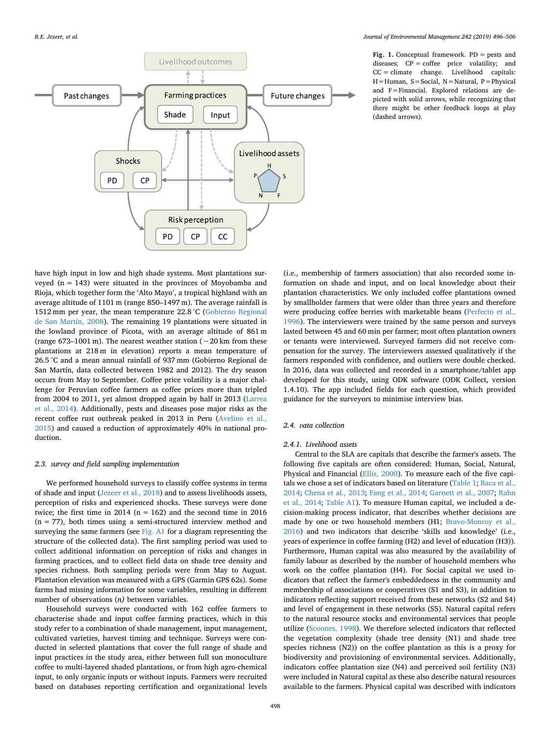<span id="page-2-0"></span>

**Fig. 1.** Conceptual framework. PD = pests and diseases; CP = coffee price volatility; and CC = climate change. Livelihood capitals: H=Human, S=Social, N=Natural, P=Physical and F=Financial. Explored relations are depicted with solid arrows, while recognizing that there might be other feedback loops at play (dashed arrows).

have high input in low and high shade systems. Most plantations surveyed  $(n = 143)$  were situated in the provinces of Moyobamba and Rioja, which together form the 'Alto Mayo', a tropical highland with an average altitude of 1101 m (range 850–1497 m). The average rainfall is 1512 mm per year, the mean temperature 22.8 °C [\(Gobierno Regional](#page-9-31) [de San Martín, 2008](#page-9-31)). The remaining 19 plantations were situated in the lowland province of Picota, with an average altitude of 861 m (range 673–1001 m). The nearest weather station (∼20 km from these plantations at 218 m in elevation) reports a mean temperature of 26.5 °C and a mean annual rainfall of 937 mm (Gobierno Regional de San Martín, data collected between 1982 and 2012). The dry season occurs from May to September. Coffee price volatility is a major challenge for Peruvian coffee farmers as coffee prices more than tripled from 2004 to 2011, yet almost dropped again by half in 2013 [\(Larrea](#page-9-27) [et al., 2014](#page-9-27)). Additionally, pests and diseases pose major risks as the recent coffee rust outbreak peaked in 2013 in Peru [\(Avelino et al.,](#page-9-10) [2015\)](#page-9-10) and caused a reduction of approximately 40% in national production.

#### *2.3. Survey and field sampling implementation*

We performed household surveys to classify coffee systems in terms of shade and input [\(Jezeer et al., 2018\)](#page-9-25) and to assess livelihoods assets, perception of risks and experienced shocks. These surveys were done twice; the first time in 2014 ( $n = 162$ ) and the second time in 2016  $(n = 77)$ , both times using a semi-structured interview method and surveying the same farmers (see Fig. A1 for a diagram representing the structure of the collected data). The first sampling period was used to collect additional information on perception of risks and changes in farming practices, and to collect field data on shade tree density and species richness. Both sampling periods were from May to August. Plantation elevation was measured with a GPS (Garmin GPS 62s). Some farms had missing information for some variables, resulting in different number of observations (*n)* between variables.

Household surveys were conducted with 162 coffee farmers to characterise shade and input coffee farming practices, which in this study refer to a combination of shade management, input management, cultivated varieties, harvest timing and technique. Surveys were conducted in selected plantations that cover the full range of shade and input practices in the study area, either between full sun monoculture coffee to multi-layered shaded plantations, or from high agro-chemical input, to only organic inputs or without inputs. Farmers were recruited based on databases reporting certification and organizational levels

(i.e., membership of farmers association) that also recorded some information on shade and input, and on local knowledge about their plantation characteristics. We only included coffee plantations owned by smallholder farmers that were older than three years and therefore were producing coffee berries with marketable beans [\(Perfecto et al.,](#page-9-32) [1996\)](#page-9-32). The interviewers were trained by the same person and surveys lasted between 45 and 60 min per farmer; most often plantation owners or tenants were interviewed. Surveyed farmers did not receive compensation for the survey. The interviewers assessed qualitatively if the farmers responded with confidence, and outliers were double checked. In 2016, data was collected and recorded in a smartphone/tablet app developed for this study, using ODK software (ODK Collect, version 1.4.10). The app included fields for each question, which provided guidance for the surveyors to minimise interview bias.

## *2.4. Data collection*

#### *2.4.1. Livelihood assets*

Central to the SLA are capitals that describe the farmer's assets. The following five capitals are often considered: Human, Social, Natural, Physical and Financial [\(Ellis, 2000](#page-9-28)). To measure each of the five capitals we chose a set of indicators based on literature [\(Table 1](#page-3-0); [Baca et al.,](#page-9-33) [2014;](#page-9-33) [Chena et al., 2013;](#page-9-34) [Fang et al., 2014;](#page-9-35) [Garnett et al., 2007;](#page-9-36) [Rahn](#page-10-12) [et al., 2014;](#page-10-12) Table A1). To measure Human capital, we included a decision-making process indicator, that describes whether decisions are made by one or two household members (H1; [Bravo-Monroy et al.,](#page-9-17) [2016\)](#page-9-17) and two indicators that describe 'skills and knowledge' (i.e., years of experience in coffee farming (H2) and level of education (H3)). Furthermore, Human capital was also measured by the availability of family labour as described by the number of household members who work on the coffee plantation (H4). For Social capital we used indicators that reflect the farmer's embeddedness in the community and membership of associations or cooperatives (S1 and S3), in addition to indicators reflecting support received from these networks (S2 and S4) and level of engagement in these networks (S5). Natural capital refers to the natural resource stocks and environmental services that people utilize [\(Scoones, 1998](#page-10-8)). We therefore selected indicators that reflected the vegetation complexity (shade tree density (N1) and shade tree species richness (N2)) on the coffee plantation as this is a proxy for biodiversity and provisioning of environmental services. Additionally, indicators coffee plantation size (N4) and perceived soil fertility (N3) were included in Natural capital as these also describe natural resources available to the farmers. Physical capital was described with indicators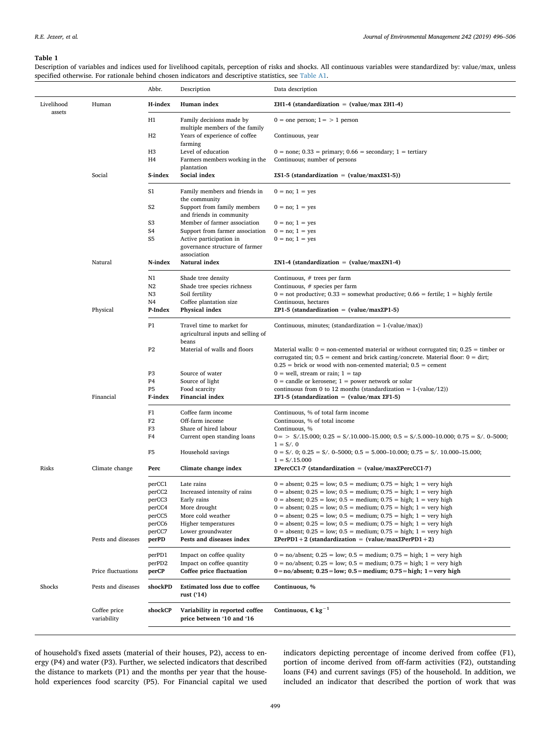#### <span id="page-3-0"></span>**Table 1**

Description of variables and indices used for livelihood capitals, perception of risks and shocks. All continuous variables were standardized by: value/max, unless specified otherwise. For rationale behind chosen indicators and descriptive statistics, see Table A1.

|                      |                             | Abbr.                     | Description                                                              | Data description                                                                                                                                                                                                                                                 |
|----------------------|-----------------------------|---------------------------|--------------------------------------------------------------------------|------------------------------------------------------------------------------------------------------------------------------------------------------------------------------------------------------------------------------------------------------------------|
| Livelihood<br>assets | Human                       | H-index                   | Human index                                                              | ΣH1-4 (standardization = (value/max ΣH1-4)                                                                                                                                                                                                                       |
|                      |                             | H1                        | Family decisions made by<br>multiple members of the family               | $0 =$ one person; $1 =$ > 1 person                                                                                                                                                                                                                               |
|                      |                             | H2                        | Years of experience of coffee<br>farming                                 | Continuous, year                                                                                                                                                                                                                                                 |
|                      |                             | H <sub>3</sub>            | Level of education                                                       | $0 = none$ ; $0.33 = primary$ ; $0.66 = secondary$ ; $1 = tertiary$                                                                                                                                                                                              |
|                      |                             | H4                        | Farmers members working in the<br>plantation                             | Continuous; number of persons                                                                                                                                                                                                                                    |
|                      | Social                      | S-index                   | Social index                                                             | $ES1-5$ (standardization = (value/max $ES1-5$ ))                                                                                                                                                                                                                 |
|                      |                             | S1                        | Family members and friends in<br>the community                           | $0 = no$ ; $1 = yes$                                                                                                                                                                                                                                             |
|                      |                             | S <sub>2</sub>            | Support from family members<br>and friends in community                  | $0 = no$ ; $1 = yes$                                                                                                                                                                                                                                             |
|                      |                             | S <sub>3</sub>            | Member of farmer association                                             | $0 = no$ ; $1 = yes$                                                                                                                                                                                                                                             |
|                      |                             | S4                        | Support from farmer association                                          | $0 = no$ ; $1 = yes$                                                                                                                                                                                                                                             |
|                      |                             | S <sub>5</sub>            | Active participation in                                                  | $0 = no$ ; $1 = yes$                                                                                                                                                                                                                                             |
|                      |                             |                           | governance structure of farmer                                           |                                                                                                                                                                                                                                                                  |
|                      | Natural                     | N-index                   | association<br>Natural index                                             | $EN1-4$ (standardization = (value/max $EN1-4$ )                                                                                                                                                                                                                  |
|                      |                             | N1                        | Shade tree density                                                       | Continuous, # trees per farm                                                                                                                                                                                                                                     |
|                      |                             | N2                        | Shade tree species richness                                              | Continuous, # species per farm                                                                                                                                                                                                                                   |
|                      |                             | N3                        | Soil fertility                                                           | $0 =$ not productive; 0.33 = somewhat productive; 0.66 = fertile; 1 = highly fertile                                                                                                                                                                             |
|                      |                             | N <sub>4</sub><br>P-Index | Coffee plantation size<br>Physical index                                 | Continuous, hectares<br>$\Sigma$ P1-5 (standardization = (value/max $\Sigma$ P1-5)                                                                                                                                                                               |
|                      | Physical                    |                           |                                                                          |                                                                                                                                                                                                                                                                  |
|                      |                             | P <sub>1</sub>            | Travel time to market for<br>agricultural inputs and selling of<br>beans | Continuous, minutes; (standardization = $1-(value/max)$ )                                                                                                                                                                                                        |
|                      |                             | P <sub>2</sub>            | Material of walls and floors                                             | Material walls: $0 =$ non-cemented material or without corrugated tin; $0.25 =$ timber or<br>corrugated tin; $0.5$ = cement and brick casting/concrete. Material floor: $0 = \text{dirt}$ ;<br>$0.25$ = brick or wood with non-cemented material; $0.5$ = cement |
|                      |                             | P <sub>3</sub>            | Source of water                                                          | $0 =$ well, stream or rain; $1 =$ tap                                                                                                                                                                                                                            |
|                      |                             | P <sub>4</sub>            | Source of light                                                          | $0 =$ candle or kerosene; $1 =$ power network or solar                                                                                                                                                                                                           |
|                      |                             | P <sub>5</sub>            | Food scarcity                                                            | continuous from 0 to 12 months (standardization = $1-(value/12)$ )                                                                                                                                                                                               |
|                      | Financial                   | F-index                   | Financial index                                                          | $\Sigma$ F1-5 (standardization = (value/max $\Sigma$ F1-5)                                                                                                                                                                                                       |
|                      |                             | F1                        | Coffee farm income                                                       | Continuous, % of total farm income                                                                                                                                                                                                                               |
|                      |                             | F <sub>2</sub><br>F3      | Off-farm income<br>Share of hired labour                                 | Continuous, % of total income<br>Continuous, %                                                                                                                                                                                                                   |
|                      |                             | F4                        | Current open standing loans                                              | $0 =$ > $S/15.000$ ; $0.25 = S/10.000 - 15.000$ ; $0.5 = S/5.000 - 10.000$ ; $0.75 = S/0.000$ ;<br>$1 = S/.0$                                                                                                                                                    |
|                      |                             | F5                        | Household savings                                                        | $0 = S/$ , 0; $0.25 = S/$ , $0-5000$ ; $0.5 = 5.000-10.000$ ; $0.75 = S/$ , $10.000-15.000$ ;<br>$1 = S/.15.000$                                                                                                                                                 |
| Risks                | Climate change              | Perc                      | Climate change index                                                     | $\text{EPercCC1-7}$ (standardization = (value/max $\text{EPercCC1-7}$ )                                                                                                                                                                                          |
|                      |                             | perCC1                    | Late rains                                                               | $0 =$ absent; $0.25 =$ low; $0.5 =$ medium; $0.75 =$ high; $1 =$ very high                                                                                                                                                                                       |
|                      |                             | perCC2                    | Increased intensity of rains                                             | $0 =$ absent; $0.25 =$ low; $0.5 =$ medium; $0.75 =$ high; $1 =$ very high                                                                                                                                                                                       |
|                      |                             | perCC3                    | Early rains                                                              | $0 =$ absent; $0.25 =$ low; $0.5 =$ medium; $0.75 =$ high; $1 =$ very high                                                                                                                                                                                       |
|                      |                             | perCC4                    | More drought                                                             | $0 =$ absent; $0.25 =$ low; $0.5 =$ medium; $0.75 =$ high; $1 =$ very high                                                                                                                                                                                       |
|                      |                             | perCC5                    | More cold weather                                                        | $0 =$ absent; $0.25 =$ low; $0.5 =$ medium; $0.75 =$ high; $1 =$ very high                                                                                                                                                                                       |
|                      |                             | perCC6                    | Higher temperatures                                                      | $0 =$ absent; $0.25 =$ low; $0.5 =$ medium; $0.75 =$ high; $1 =$ very high                                                                                                                                                                                       |
|                      |                             | perCC7                    | Lower groundwater                                                        | $0 =$ absent; $0.25 =$ low; $0.5 =$ medium; $0.75 =$ high; $1 =$ very high                                                                                                                                                                                       |
|                      | Pests and diseases          | perPD                     | Pests and diseases index                                                 | $\text{EPerPD1} + 2$ (standardization = (value/max $\text{EPerPD1} + 2$ )                                                                                                                                                                                        |
|                      |                             | perPD1                    | Impact on coffee quality                                                 | $0 = no/absent$ ; $0.25 = low$ ; $0.5 = medium$ ; $0.75 = high$ ; $1 = very high$                                                                                                                                                                                |
|                      | Price fluctuations          | perPD2<br>perCP           | Impact on coffee quantity<br>Coffee price fluctuation                    | $0 = no/absent$ ; $0.25 = low$ ; $0.5 = medium$ ; $0.75 = high$ ; $1 = very high$<br>$0 = no/absent$ ; $0.25 = low$ ; $0.5 = medium$ ; $0.75 = high$ ; $1 = very high$                                                                                           |
| Shocks               | Pests and diseases          | shockPD                   | Estimated loss due to coffee                                             | Continuous, %                                                                                                                                                                                                                                                    |
|                      |                             |                           | rust ('14)                                                               |                                                                                                                                                                                                                                                                  |
|                      | Coffee price<br>variability | shockCP                   | Variability in reported coffee<br>price between '10 and '16              | Continuous, $\epsilon$ kg <sup>-1</sup>                                                                                                                                                                                                                          |
|                      |                             |                           |                                                                          |                                                                                                                                                                                                                                                                  |

of household's fixed assets (material of their houses, P2), access to energy (P4) and water (P3). Further, we selected indicators that described the distance to markets (P1) and the months per year that the household experiences food scarcity (P5). For Financial capital we used indicators depicting percentage of income derived from coffee (F1), portion of income derived from off-farm activities (F2), outstanding loans (F4) and current savings (F5) of the household. In addition, we included an indicator that described the portion of work that was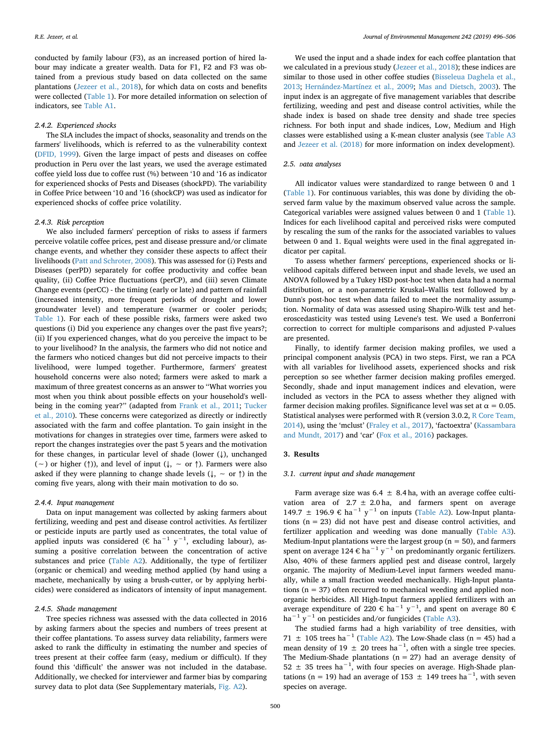conducted by family labour (F3), as an increased portion of hired labour may indicate a greater wealth. Data for F1, F2 and F3 was obtained from a previous study based on data collected on the same plantations ([Jezeer et al., 2018](#page-9-25)), for which data on costs and benefits were collected ([Table 1](#page-3-0)). For more detailed information on selection of indicators, see Table A1.

## *2.4.2. Experienced shocks*

The SLA includes the impact of shocks, seasonality and trends on the farmers' livelihoods, which is referred to as the vulnerability context ([DFID, 1999](#page-9-26)). Given the large impact of pests and diseases on coffee production in Peru over the last years, we used the average estimated coffee yield loss due to coffee rust (%) between '10 and '16 as indicator for experienced shocks of Pests and Diseases (shockPD). The variability in Coffee Price between '10 and '16 (shockCP) was used as indicator for experienced shocks of coffee price volatility.

## *2.4.3. Risk perception*

We also included farmers' perception of risks to assess if farmers perceive volatile coffee prices, pest and disease pressure and/or climate change events, and whether they consider these aspects to affect their livelihoods [\(Patt and Schroter, 2008\)](#page-9-37). This was assessed for (i) Pests and Diseases (perPD) separately for coffee productivity and coffee bean quality, (ii) Coffee Price fluctuations (perCP), and (iii) seven Climate Change events (perCC) - the timing (early or late) and pattern of rainfall (increased intensity, more frequent periods of drought and lower groundwater level) and temperature (warmer or cooler periods; [Table 1\)](#page-3-0). For each of these possible risks, farmers were asked two questions (i) Did you experience any changes over the past five years?; (ii) If you experienced changes, what do you perceive the impact to be to your livelihood? In the analysis, the farmers who did not notice and the farmers who noticed changes but did not perceive impacts to their livelihood, were lumped together. Furthermore, farmers' greatest household concerns were also noted; farmers were asked to mark a maximum of three greatest concerns as an answer to ''What worries you most when you think about possible effects on your household's wellbeing in the coming year?'' (adapted from [Frank et al., 2011](#page-9-38); [Tucker](#page-10-4) [et al., 2010](#page-10-4)). These concerns were categorized as directly or indirectly associated with the farm and coffee plantation. To gain insight in the motivations for changes in strategies over time, farmers were asked to report the changes instrategies over the past 5 years and the motivation for these changes, in particular level of shade (lower  $(\downarrow)$ ), unchanged (∼) or higher (↑)), and level of input (↓, ∼ or ↑). Farmers were also asked if they were planning to change shade levels ( $\downarrow$ , ~ or  $\uparrow$ ) in the coming five years, along with their main motivation to do so.

#### *2.4.4. Input management*

Data on input management was collected by asking farmers about fertilizing, weeding and pest and disease control activities. As fertilizer or pesticide inputs are partly used as concentrates, the total value of applied inputs was considered (€ ha<sup>-1</sup> y<sup>-1</sup>, excluding labour), assuming a positive correlation between the concentration of active substances and price (Table A2). Additionally, the type of fertilizer (organic or chemical) and weeding method applied (by hand using a machete, mechanically by using a brush-cutter, or by applying herbicides) were considered as indicators of intensity of input management.

## *2.4.5. Shade management*

Tree species richness was assessed with the data collected in 2016 by asking farmers about the species and numbers of trees present at their coffee plantations. To assess survey data reliability, farmers were asked to rank the difficulty in estimating the number and species of trees present at their coffee farm (easy, medium or difficult). If they found this 'difficult' the answer was not included in the database. Additionally, we checked for interviewer and farmer bias by comparing survey data to plot data (See Supplementary materials, Fig. A2).

We used the input and a shade index for each coffee plantation that we calculated in a previous study [\(Jezeer et al., 2018](#page-9-25)); these indices are similar to those used in other coffee studies [\(Bisseleua Daghela et al.,](#page-9-39) [2013;](#page-9-39) [Hernández-Martínez et al., 2009](#page-9-40); [Mas and Dietsch, 2003\)](#page-9-41). The input index is an aggregate of five management variables that describe fertilizing, weeding and pest and disease control activities, while the shade index is based on shade tree density and shade tree species richness. For both input and shade indices, Low, Medium and High classes were established using a K-mean cluster analysis (see Table A3 and [Jezeer et al. \(2018\)](#page-9-25) for more information on index development).

#### *2.5. Data analyses*

All indicator values were standardized to range between 0 and 1 ([Table 1](#page-3-0)). For continuous variables, this was done by dividing the observed farm value by the maximum observed value across the sample. Categorical variables were assigned values between 0 and 1 ([Table 1](#page-3-0)). Indices for each livelihood capital and perceived risks were computed by rescaling the sum of the ranks for the associated variables to values between 0 and 1. Equal weights were used in the final aggregated indicator per capital.

To assess whether farmers' perceptions, experienced shocks or livelihood capitals differed between input and shade levels, we used an ANOVA followed by a Tukey HSD post-hoc test when data had a normal distribution, or a non-parametric Kruskal–Wallis test followed by a Dunn's post-hoc test when data failed to meet the normality assumption. Normality of data was assessed using Shapiro-Wilk test and heteroscedasticity was tested using Levene's test. We used a Bonferroni correction to correct for multiple comparisons and adjusted P-values are presented.

Finally, to identify farmer decision making profiles, we used a principal component analysis (PCA) in two steps. First, we ran a PCA with all variables for livelihood assets, experienced shocks and risk perception so see whether farmer decision making profiles emerged. Secondly, shade and input management indices and elevation, were included as vectors in the PCA to assess whether they aligned with farmer decision making profiles. Significance level was set at  $\alpha = 0.05$ . Statistical analyses were performed with R (version 3.0.2, [R Core Team,](#page-9-42) [2014\)](#page-9-42), using the 'mclust' [\(Fraley et al., 2017\)](#page-9-43), 'factoextra' ([Kassambara](#page-9-44) [and Mundt, 2017](#page-9-44)) and 'car' [\(Fox et al., 2016](#page-9-45)) packages.

## **3. Results**

#### *3.1. Current input and shade management*

Farm average size was  $6.4 \pm 8.4$  ha, with an average coffee cultivation area of  $2.7 \pm 2.0$  ha, and farmers spent on average 149.7 ± 196.9 € ha<sup>-1</sup> y<sup>-1</sup> on inputs (Table A2). Low-Input plantations (n = 23) did not have pest and disease control activities, and fertilizer application and weeding was done manually (Table A3). Medium-Input plantations were the largest group ( $n = 50$ ), and farmers spent on average 124 € ha $^{-1}$  y $^{-1}$  on predominantly organic fertilizers. Also, 40% of these farmers applied pest and disease control, largely organic. The majority of Medium-Level input farmers weeded manually, while a small fraction weeded mechanically. High-Input plantations ( $n = 37$ ) often recurred to mechanical weeding and applied nonorganic herbicides. All High-Input farmers applied fertilizers with an average expenditure of 220 € ha<sup>-1</sup> y<sup>-1</sup>, and spent on average 80 € ha<sup> $-1$ </sup> y<sup>−1</sup> on pesticides and/or fungicides (Table A3).

The studied farms had a high variability of tree densities, with 71  $\pm$  105 trees ha<sup>-1</sup> (Table A2). The Low-Shade class (n = 45) had a mean density of 19  $\pm$  20 trees ha<sup>-1</sup>, often with a single tree species. The Medium-Shade plantations  $(n = 27)$  had an average density of 52 ± 35 trees ha−1, with four species on average. High-Shade plantations (n = 19) had an average of 153  $\pm$  149 trees ha<sup>-1</sup>, with seven species on average.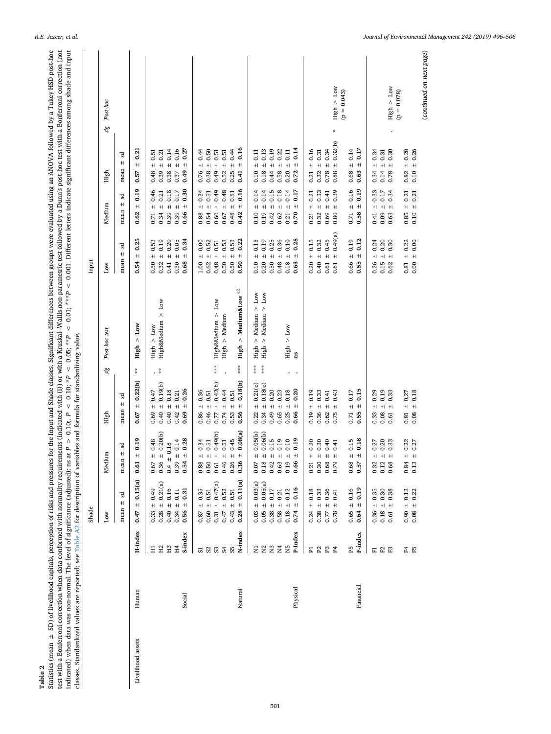<span id="page-5-0"></span>Statistics (mean  $\pm$  SD) of livelihood capitals, perception of risks and pressures for the Input and Shade classes. Significant differences between groups were evaluated using an ANOVA followed by a Tukey HSD post-hoc te Statistics (mean  $\pm$  SD) of livelihood capitals, perception of risks and pressures for the Input and Shade classes. Significant differences between groups were evaluated using an ANOVA followed by a Tukey HSD post-hoc test with a Bonferroni correction when data conformed with normality requirements (indicated with (i)) or with a Kruskal–Wallis non-parametric test followed by a Dunn's post-hoc test with a Bonferroni correction (not indicated) when data was non-normal. The level of significance (adjusted): use at P > 0.10;  $P$  < 0.10;  $P$  < 0.10;  $P$  < 0.10;  $P$  < 0.05; \*\*\*P < 0.001. Different letters indicate significant differences among shade and classes. Standardized values are reported; see Table A2 for description of variables and formula for standardizing value. classes. Standardized values are reported; see Table A2 for description of variables and formula for standardizing value.

|                   |           |                           | Shade                                                                               |                                          |                                                                                       |            |                                                        | Input                                                                     |                                                                       |                                             |                 |
|-------------------|-----------|---------------------------|-------------------------------------------------------------------------------------|------------------------------------------|---------------------------------------------------------------------------------------|------------|--------------------------------------------------------|---------------------------------------------------------------------------|-----------------------------------------------------------------------|---------------------------------------------|-----------------|
|                   |           |                           | Low                                                                                 | Medium                                   | High                                                                                  | sig        | Post-hoc test                                          | Low                                                                       | Medium                                                                | High                                        | Post-hoc<br>sig |
|                   |           |                           | S<br>$+1$<br>mean                                                                   | ન્નુ<br>$+1$<br>mean                     | ન્નુ<br>$mean \pm$                                                                    |            |                                                        | S<br>$+$<br>mean                                                          | S<br>$mean \pm$                                                       | ಇ<br>$+1$<br>mean                           |                 |
| Livelihood assets | Human     | H-index                   | 0.15(a)<br>$+1$<br>0.47                                                             | 0.19<br>$+1$<br>0.61                     | ± 0.22(b)<br>0.67                                                                     | 菜长         | High > Low                                             | 0.25<br>$+1$<br>0.54                                                      | 0.19<br>$+1$<br>0.62                                                  | 0.21<br>$+1$<br>0.57                        |                 |
|                   |           | Ξ                         | 0.49<br>0.33                                                                        | ± 0.48<br>0.67                           | 0.47<br>$+1$<br>0.69                                                                  |            | High > Low                                             | 0.53<br>$+$<br>0.50                                                       | 0.46<br>$+1$<br>0.71                                                  | 0.51<br>$+$<br>0.48                         |                 |
|                   |           | H2                        | $\pm 0.49$<br>$\pm 0.21(a)$<br>0.28                                                 | ± 0.20(b)<br>0.36                        | 0.19(b)<br>$+1$<br>0.40                                                               | $\ddot{x}$ | High&Medium > Low                                      | ± 0.19<br>0.32                                                            | 0.21<br>$0.34 \pm$                                                    | ± 0.21<br>0.39                              |                 |
|                   |           | H <sub>3</sub>            | $0.40 \pm 0.16$                                                                     | ± 0.18<br>0.4                            | 0.18<br>$0.40 \pm$                                                                    |            |                                                        | $\pm 0.20$<br>0.41                                                        | 0.18<br>$0.39 +$                                                      | $0.38 \pm 0.14$                             |                 |
|                   | Social    | S-index<br>H <sub>4</sub> | 0.31<br>$0.34 \pm 0.11$<br>$+1$<br>0.56                                             | $\pm 0.28$<br>$\pm 0.14$<br>0.39<br>0.54 | ± 0.26<br>$0.42 \pm 0.21$<br>0.69                                                     |            |                                                        | 0.34<br>$0.30 \pm 0.05$<br>$\ddot{+}$<br>0.68                             | $\pm 0.30$<br>0.17<br>$0.39 \pm$<br>0.66                              | 0.16<br>0.27<br>$+1$<br>$+$<br>0.37<br>0.49 |                 |
|                   |           | 51                        | 0.35<br>$+1$<br>0.87                                                                | ± 0.34<br>0.88                           | 0.36<br>$\ddagger$<br>0.86                                                            |            |                                                        | 0.00<br>$\ddot{}$<br>1.00                                                 | 0.34<br>$+1$<br>0.88                                                  | 0.44<br>$\ddot{}$<br>0.76                   |                 |
|                   |           | S2                        | 0.60                                                                                | 0.50                                     | 0.51<br>$+1$<br>0.46                                                                  |            |                                                        | ± 0.52<br>0.62                                                            | 0.51<br>$+1$<br>0.54                                                  | 0.50<br>$\pm\vert$<br>0.38                  |                 |
|                   |           | S <sub>3</sub>            | $\begin{array}{rcl} \pm& 0.51 \\ \pm& 0.47 \, (a) \\ \pm& 0.52 \end{array}$<br>0.31 | $\pm 0.51$<br>$\pm 0.49(b)$<br>0.61      | 0.42(b)<br>$+1$<br>0.77                                                               | ***        | High&Medium > Low                                      | $\pm$ 0.51<br>0.48                                                        | 0.49<br>$0.60 +$                                                      | 0.51<br>$\ddot{}$<br>0.49                   |                 |
|                   |           | 54                        | 0.47                                                                                | ± 0.51<br>0.46                           | 0.44<br>$+1$<br>0.74                                                                  |            | High > Medium                                          | $\pm 0.53$<br>0.50                                                        | 0.48<br>$+1$<br>$0.67$                                                | 0.51<br>$+1$<br>0.52                        |                 |
|                   |           | S5                        | $\pm$ 0.51<br>0.43                                                                  | ± 0.45<br>0.26                           | $0.53 \pm 0.51$                                                                       |            |                                                        | ± 0.53<br>0.50                                                            | 0.51<br>$0.48 \pm$                                                    | 0.44<br>$+1$<br>0.25                        |                 |
|                   | Natural   | N-index                   | ± 0.11(a)<br>0.28                                                                   | 10.08(a)<br>0.36                         | $0.56 \pm 0.18(b)$                                                                    | ***        | $\mathbf{High} \, > \, \mathbf{Median\&Low} \, ^{(i)}$ | 0.22<br>$+1$<br>0.50                                                      | ± 0.16<br>0.42                                                        | 0.16<br>$+$<br>0.41                         |                 |
|                   |           | $\Xi$                     | .03 $\pm$ 0. $\cup$ ,<br>0.05 $\pm$ 0.05(a)<br>0.38 $\pm$ 0.17<br>0.31 $\pm$ 0.21   | 0.07                                     | 0.21(c)<br>$+1$<br>0.22                                                               | ***        | High $>$ Medium $>$ Low                                | 0.15<br>$+1$<br>0.10                                                      | 0.14<br>$+1$<br>0.10                                                  | 0.11<br>$+1$<br>0.10                        |                 |
|                   |           | N <sub>2</sub>            |                                                                                     | 0.18                                     | 0.18(c)<br>$+1$<br>0.34                                                               | ***        | High > Medium > Low                                    | $\pm 0.19$<br>0.20                                                        | 0.14<br>$0.19 \pm$                                                    | 0.13<br>$0.18 \pm 1$                        |                 |
|                   |           | $_{\rm N3}$               |                                                                                     | 0.42                                     | 0.20<br>$+$<br>0.49                                                                   |            |                                                        | 0.25<br>$+1$<br>0.50                                                      | 0.15<br>$+1$<br>0.42                                                  | 0.19<br>$+1$<br>0.44                        |                 |
|                   |           | $\overline{A}$            |                                                                                     | $\pm 0.19$<br>0.63                       | 0.23<br>$0.65 \pm$                                                                    |            |                                                        | ± 0.36<br>0.48                                                            | 0.18<br>$0.62 +$                                                      | 0.22<br>$+1$<br>0.58                        |                 |
|                   |           | N5                        | 0.12<br>$+1$<br>0.18                                                                | ± 0.10<br>0.19                           | 0.18<br>$+1$<br>0.25                                                                  |            | High > Low                                             | ± 0.10<br>0.18                                                            | 0.14<br>$+1$<br>0.21                                                  | 0.11<br>$+1$<br>0.20                        |                 |
|                   | Physical  | P-Index                   | 0.16<br>$\pm$<br>0.74                                                               | 0.19<br>$+$<br>0.66                      | 0.20<br>$\pm$<br>0.66                                                                 |            | ns                                                     | 0.28<br>$\pm$<br>0.63                                                     | 0.17<br>$\pm$<br>0.70                                                 | 0.14<br>$+1$<br>0.72                        |                 |
|                   |           | E                         | 0.18<br>0.24                                                                        | 0.20<br>0.21                             | 0.19<br>$+$<br>0.19                                                                   |            |                                                        | 0.15<br>$+1$<br>0.20                                                      | 0.21<br>$+1$<br>0.21                                                  | 0.16<br>$+1$<br>0.21                        |                 |
|                   |           | $\mathbf{P}2$             | 0.33<br>$+1$ +1<br>0.38                                                             | $+ 0.20$<br>$+ 0.30$<br>0.30             | 0.33<br>$+1$<br>0.36                                                                  |            |                                                        | $0.40 \pm 0.32$                                                           | 0.33<br>$0.32 \pm$                                                    | $0.32 \pm 0.31$                             |                 |
|                   |           | $\mathbf{p}$              | $+ 0.36$<br>$+ 0.41$<br>$0.77\,$                                                    | $+ 0.40$<br>0.68                         | 0.41<br>$+1$<br>0.62                                                                  |            |                                                        | ± 0.45<br>0.61                                                            | 0.41<br>$+1$ +1<br>0.69                                               | $0.78 + 0.34$                               |                 |
|                   |           | $_{\rm p}$                | 0.78                                                                                | 0.41<br>$+1$<br>0.79                     | 0.43<br>$+$<br>0.75                                                                   |            |                                                        | $\pm 0.49(a)$<br>0.61                                                     | 0.39<br>0.80                                                          | $±$ 0.32(b)<br>0.88                         | High > Low      |
|                   |           |                           |                                                                                     |                                          |                                                                                       |            |                                                        |                                                                           |                                                                       |                                             | $(p = 0.043)$   |
|                   |           | P5                        | $0.65 \pm 0.16$<br>0.64 $\pm$ 0.19                                                  | ± 0.15<br>$0.58$<br>0.57                 | ± 0.17<br>0.71                                                                        |            |                                                        | $0.66 \pm 0.19$                                                           | ± 0.16<br>0.71                                                        | $0.68 \pm 0.14$                             |                 |
|                   | Financial | F-index                   | 0.19                                                                                | 0.18<br>$+$                              | 0.15<br>$\pm$<br>0.55                                                                 |            |                                                        | 0.12<br>$+$<br>0.55                                                       | 0.19<br>$+$<br>0.58                                                   | 0.17<br>$+1$<br>0.63                        |                 |
|                   |           | E                         | 0.35<br>$+1$<br>0.36                                                                | 0.27<br>$+1$<br>0.32                     | 0.29<br>$+1$<br>0.33                                                                  |            |                                                        | 0.24<br>$\ddagger$<br>0.26                                                | 0.33<br>$+1$<br>0.41                                                  | 0.34<br>$+1$<br>0.34                        |                 |
|                   |           |                           | $0.18\,$                                                                            | 0.12                                     | 0.19<br>$+1$<br>0.08                                                                  |            |                                                        |                                                                           | 0.17<br>$0.09 \pm 0.0$                                                | $0.14 \pm 0.31$                             |                 |
|                   |           | F2                        | $\begin{array}{r}\n\pm 0.30 \\ \pm 0.38\n\end{array}$<br>0.61                       | $+ 0.20$<br>$+ 0.33$<br>0.68             | 0.33<br>$+$<br>0.61                                                                   |            |                                                        | $0.15 \pm 0.20$<br>$0.62 \pm 0.30$                                        | 0.34<br>$+$<br>0.63                                                   | 0.30<br>$+1$<br>0.78                        | High > Low      |
|                   |           |                           |                                                                                     |                                          |                                                                                       |            |                                                        |                                                                           |                                                                       |                                             | $(p = 0.078)$   |
|                   |           | F4<br>F5                  | $0.90 \pm 0.13$<br>$0.08 \pm 0.22$                                                  | $+ 0.22$<br>$+ 0.27$<br>0.84<br>0.13     | $\begin{array}{c} 0.81 \  \, \pm \  \, 0.27 \\ 0.08 \  \, \pm \  \, 0.18 \end{array}$ |            |                                                        | $\begin{array}{c} 0.81 \; \pm \; 0.22 \\ 0.00 \; \pm \; 0.00 \end{array}$ | $\begin{array}{c} 0.85 \ \pm \ 0.21 \\ 0.10 \ \pm \ 0.21 \end{array}$ | $0.82 \pm 0.28$<br>0.10 $\pm$ 0.26          |                 |
|                   |           |                           |                                                                                     |                                          |                                                                                       |            |                                                        |                                                                           |                                                                       |                                             |                 |

(*continued on next page*)

(continued on next page)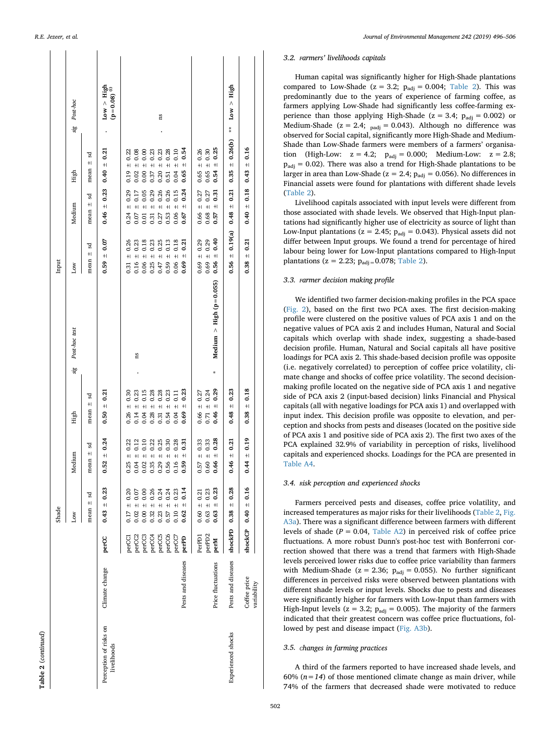| ٦ |
|---|
| Ľ |
|   |
|   |
|   |
|   |

| Table 2 (continued)                   |                    |        |                         |                      |                      |     |                           |                                    |                                              |                                                                   |  |
|---------------------------------------|--------------------|--------|-------------------------|----------------------|----------------------|-----|---------------------------|------------------------------------|----------------------------------------------|-------------------------------------------------------------------|--|
|                                       |                    |        | Shade                   |                      |                      |     |                           | Input                              |                                              |                                                                   |  |
|                                       |                    |        | Low                     | Medium               | High                 | sig | Post-hoc test             | Low                                | High<br>Medium                               | sig Post-hoc                                                      |  |
|                                       |                    |        | $mean \pm sd$           | g<br>$+1$<br>mean    | mean $\pm$ sd        |     |                           | $mean \pm sd$                      | ન્નુ<br>$mean \pm$<br>š<br>mean $\pm$        |                                                                   |  |
| Perception of risks on<br>livelihoods | Climate change     | perCC  | $0.43 \pm 0.23$         | $\pm 0.24$<br>0.52   | $0.50 \pm 0.21$      |     |                           | $0.59 \pm 0.07$                    | $0.40 \pm 0.21$<br>$0.46 \pm 0.23$           | $\begin{array}{c} Low > High \\ (p\!=\!0.08)\ ^{(i)} \end{array}$ |  |
|                                       |                    | perCC1 | $0.17 \pm 0.20$         | $\pm 0.22$<br>0.25   | 0.30<br>$+1$<br>0.26 |     |                           | $0.31 \pm 0.26$                    | $0.19 \pm 0.22$<br>0.29<br>$+1$<br>0.24      |                                                                   |  |
|                                       |                    | perCC2 | $0.02 \pm 0.07$         | $\pm 0.12$<br>0.04   | 0.23<br>$0.14 \pm$   |     | $_{\rm ns}$               | $0.16 \pm 0.23$                    | $0.02 \pm 0.08$<br>$0.07 \pm 0.17$           |                                                                   |  |
|                                       |                    | perCC3 | $0.00 \pm 0.00$         | 0.10<br>$+1$<br>0.02 | 0.15<br>$+1$<br>0.04 |     |                           | $0.06 \pm 0.18$                    | 0.00<br>$0.00 +$<br>0.05<br>$+1$<br>0.01     |                                                                   |  |
|                                       |                    | perCC4 | $\pm 0.26$<br>0.32      | 0.22<br>$+1$<br>0.35 | 0.28<br>$+1$<br>0.28 |     |                           | 0.23<br>$+1$<br>0.25               | 0.23<br>$+1$<br>0.37<br>0.29<br>$+1$<br>0.31 |                                                                   |  |
|                                       |                    | perCC5 | ± 0.24<br>0.23          | 0.25<br>$+1$<br>0.29 | 0.28<br>$+1$<br>0.31 |     |                           | 0.25<br>$0.47 \pm$                 | $0.20 \pm 0.23$<br>0.26<br>$+1$<br>0.27      | 15                                                                |  |
|                                       |                    | perCC6 | $0.57 \pm 0.24$         | 0.30<br>$+1$<br>0.56 | 0.23<br>$+1$<br>0.54 |     |                           | 0.13<br>$+1$<br>0.59               | ± 0.28<br>0.51<br>0.26<br>$+1$<br>0.53       |                                                                   |  |
|                                       |                    | perCC7 | $0.10 \pm 0.23$         | ± 0.28<br>0.16       | 0.11<br>$+1$<br>0.04 |     |                           | 0.18<br>$+1$<br>0.06               | ± 0.10<br>0.04<br>0.15<br>$0.06 \pm$         |                                                                   |  |
|                                       | Pests and diseases | perPD  | $0.62 \pm 0.14$         | 0.31<br>$+1$<br>0.59 | $0.69 \pm 0.23$      |     |                           | 0.21<br>$+1$<br>0.69               | $0.65 \pm 0.54$<br>$\pm 0.24$<br>0.67        |                                                                   |  |
|                                       |                    | PerPD1 | $0.60 \pm 0.21$         | $\pm 0.33$<br>0.57   | ± 0.27<br>0.66       |     |                           | $0.69 \pm 0.29$                    | $0.65 \pm 0.26$<br>0.27<br>$0.66 \pm$        |                                                                   |  |
|                                       |                    | perPD2 | $0.63 + 0.23$           | $\pm 0.33$<br>0.60   | $0.71 \pm 0.24$      |     |                           | $0.69 \pm 0.29$                    | $0.65 \pm 0.30$<br>$0.68 \pm 0.27$           |                                                                   |  |
|                                       | Price fluctuations | perM   | $0.63 + 0.23$           | ± 0.28<br>0.66       | $0.46 \pm 0.29$      | ķ   | Medium > High $(p=0.055)$ | $0.56 \pm 0.40$                    | $0.54 \pm 0.25$<br>$\pm 0.31$<br>0.57        |                                                                   |  |
| Experienced shocks                    | Pests and diseases |        | shockPD $0.38 \pm 0.28$ | ± 0.21<br>0.46       | $0.48 \pm 0.23$      |     |                           | $0.56 \pm 0.19(a)$ $0.48 \pm 0.21$ | $0.35 \pm 0.26(b)$ **                        | Low > High                                                        |  |
|                                       | Coffee price       |        | shockCP $0.40 \pm 0.16$ | $1.0 + 1$<br>0.44    | $0.38 \pm 0.18$      |     |                           | $0.38 \pm 0.21$                    | $0.43 \pm 0.16$<br>$0.40 \pm 0.18$           |                                                                   |  |
|                                       | variability        |        |                         |                      |                      |     |                           |                                    |                                              |                                                                   |  |

## *3.2. Farmers' livelihoods capitals*

Human capital was significantly higher for High-Shade plantations compared to Low-Shade ( $z = 3.2$ ;  $p_{\text{adi}} = 0.004$ ; [Table 2](#page-5-0)). This was predominantly due to the years of experience of farming coffee, as farmers applying Low-Shade had significantly less coffee-farming experience than those applying High-Shade ( $z = 3.4$ ;  $p_{\text{adi}} = 0.002$ ) or Medium-Shade ( $z = 2.4$ ;  $_{padj} = 0.043$ ). Although no difference was observed for Social capital, significantly more High-Shade and Medium-Shade than Low-Shade farmers were members of a farmers' organisation (High-Low:  $z = 4.2$ ;  $p_{\text{adj}} = 0.000$ ; Medium-Low:  $z = 2.8$ ;  $p_{\text{adi}} = 0.02$ ). There was also a trend for High-Shade plantations to be larger in area than Low-Shade ( $z = 2.4$ ;  $p_{\text{adi}} = 0.056$ ). No differences in Financial assets were found for plantations with different shade levels ([Table 2](#page-5-0)).

Livelihood capitals associated with input levels were different from those associated with shade levels. We observed that High-Input plantations had significantly higher use of electricity as source of light than Low-Input plantations ( $z = 2.45$ ;  $p_{\text{adj}} = 0.043$ ). Physical assets did not differ between Input groups. We found a trend for percentage of hired labour being lower for Low-Input plantations compared to High-Input plantations ( $z = 2.23$ ;  $p_{\text{adj}} = 0.078$ ; [Table 2](#page-5-0)).

#### *3.3. Farmer decision making profile*

We identified two farmer decision-making profiles in the PCA space ([Fig. 2\)](#page-7-0), based on the first two PCA axes. The first decision-making profile were clustered on the positive values of PCA axis 1 and on the negative values of PCA axis 2 and includes Human, Natural and Social capitals which overlap with shade index, suggesting a shade-based decision profile. Human, Natural and Social capitals all have positive loadings for PCA axis 2. This shade-based decision profile was opposite (i.e. negatively correlated) to perception of coffee price volatility, climate change and shocks of coffee price volatility. The second decisionmaking profile located on the negative side of PCA axis 1 and negative side of PCA axis 2 (input-based decision) links Financial and Physical capitals (all with negative loadings for PCA axis 1) and overlapped with input index. This decision profile was opposite to elevation, and perception and shocks from pests and diseases (located on the positive side of PCA axis 1 and positive side of PCA axis 2). The first two axes of the PCA explained 32.9% of variability in perception of risks, livelihood capitals and experienced shocks. Loadings for the PCA are presented in Table A4 .

#### *3.4. Risk perception and experienced shocks*

Farmers perceived pests and diseases, coffee price volatility, and increased temperatures as major risks for their livelihoods [\(Table 2](#page-5-0) , Fig. A3a). There was a significant difference between farmers with different levels of shade ( $P = 0.04$ , Table A2) in perceived risk of coffee price fluctuations. A more robust Dunn's post-hoc test with Bonferroni correction showed that there was a trend that farmers with High-Shade levels perceived lower risks due to coffee price variability than farmers with Medium-Shade ( $z = 2.36$ ;  $p_{\text{adj}} = 0.055$ ). No further significant differences in perceived risks were observed between plantations with different shade levels or input levels. Shocks due to pests and diseases were significantly higher for farmers with Low-Input than farmers with High-Input levels ( $z = 3.2$ ;  $p_{\text{adj}} = 0.005$ ). The majority of the farmers indicated that their greatest concern was coffee price fluctuations, followed by pest and disease impact (Fig. A3b).

#### *3.5. Changes in farming practices*

A third of the farmers reported to have increased shade levels, and 60%  $(n=14)$  of those mentioned climate change as main driver, while 74% of the farmers that decreased shade were motivated to reduce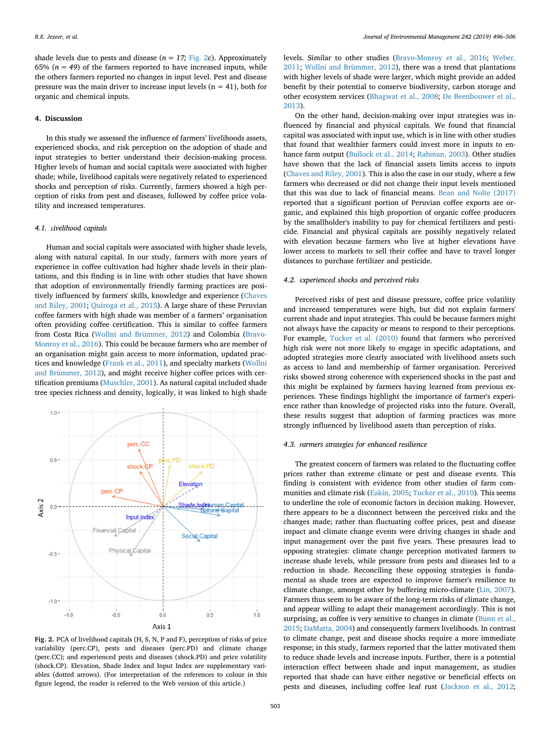shade levels due to pests and disease  $(n = 17; Fig. 2c)$  $(n = 17; Fig. 2c)$  $(n = 17; Fig. 2c)$ . Approximately 65%  $(n = 49)$  of the farmers reported to have increased inputs, while the others farmers reported no changes in input level. Pest and disease pressure was the main driver to increase input levels ( $n = 41$ ), both for organic and chemical inputs.

#### **4. Discussion**

In this study we assessed the influence of farmers' livelihoods assets, experienced shocks, and risk perception on the adoption of shade and input strategies to better understand their decision-making process. Higher levels of human and social capitals were associated with higher shade; while, livelihood capitals were negatively related to experienced shocks and perception of risks. Currently, farmers showed a high perception of risks from pest and diseases, followed by coffee price volatility and increased temperatures.

## *4.1. Livelihood capitals*

Human and social capitals were associated with higher shade levels, along with natural capital. In our study, farmers with more years of experience in coffee cultivation had higher shade levels in their plantations, and this finding is in line with other studies that have shown that adoption of environmentally friendly farming practices are positively influenced by farmers' skills, knowledge and experience ([Chaves](#page-9-18) [and Riley, 2001;](#page-9-18) [Quiroga et al., 2015](#page-9-19)). A large share of these Peruvian coffee farmers with high shade was member of a farmers' organisation often providing coffee certification. This is similar to coffee farmers from Costa Rica [\(Wollni and Brümmer, 2012](#page-10-7)) and Colombia ([Bravo-](#page-9-17)[Monroy et al., 2016](#page-9-17)). This could be because farmers who are member of an organisation might gain access to more information, updated practices and knowledge [\(Frank et al., 2011](#page-9-38)), and specialty markets [\(Wollni](#page-10-7) [and Brümmer, 2012](#page-10-7)), and might receive higher coffee prices with certification premiums [\(Muschler, 2001\)](#page-9-46). As natural capital included shade tree species richness and density, logically, it was linked to high shade

<span id="page-7-0"></span>

**Fig. 2.** PCA of livelihood capitals (H, S, N, P and F), perception of risks of price variability (perc.CP), pests and diseases (perc.PD) and climate change (perc.CC); and experienced pests and diseases (shock.PD) and price volatility (shock.CP). Elevation, Shade Index and Input Index are supplementary variables (dotted arrows). (For interpretation of the references to colour in this figure legend, the reader is referred to the Web version of this article.)

levels. Similar to other studies ([Bravo-Monroy et al., 2016](#page-9-17); [Weber,](#page-10-6) [2011;](#page-10-6) [Wollni and Brümmer, 2012\)](#page-10-7), there was a trend that plantations with higher levels of shade were larger, which might provide an added benefit by their potential to conserve biodiversity, carbon storage and other ecosystem services ([Bhagwat et al., 2008;](#page-9-47) [De Beenhouwer et al.,](#page-9-48) [2013\)](#page-9-48).

On the other hand, decision-making over input strategies was influenced by financial and physical capitals. We found that financial capital was associated with input use, which is in line with other studies that found that wealthier farmers could invest more in inputs to enhance farm output [\(Bullock et al., 2014;](#page-9-49) [Rahman, 2003](#page-10-13)). Other studies have shown that the lack of financial assets limits access to inputs ([Chaves and Riley, 2001\)](#page-9-18). This is also the case in our study, where a few farmers who decreased or did not change their input levels mentioned that this was due to lack of financial means. [Bean and Nolte \(2017\)](#page-9-50) reported that a significant portion of Peruvian coffee exports are organic, and explained this high proportion of organic coffee producers by the smallholder's inability to pay for chemical fertilizers and pesticide. Financial and physical capitals are possibly negatively related with elevation because farmers who live at higher elevations have lower access to markets to sell their coffee and have to travel longer distances to purchase fertilizer and pesticide.

## *4.2. Experienced shocks and perceived risks*

Perceived risks of pest and disease pressure, coffee price volatility and increased temperatures were high, but did not explain farmers' current shade and input strategies. This could be because farmers might not always have the capacity or means to respond to their perceptions. For example, [Tucker et al. \(2010\)](#page-10-4) found that farmers who perceived high risk were not more likely to engage in specific adaptations, and adopted strategies more clearly associated with livelihood assets such as access to land and membership of farmer organisation. Perceived risks showed strong coherence with experienced shocks in the past and this might be explained by farmers having learned from previous experiences. These findings highlight the importance of farmer's experience rather than knowledge of projected risks into the future. Overall, these results suggest that adoption of farming practices was more strongly influenced by livelihood assets than perception of risks.

#### *4.3. Farmers strategies for enhanced resilience*

The greatest concern of farmers was related to the fluctuating coffee prices rather than extreme climate or pest and disease events. This finding is consistent with evidence from other studies of farm communities and climate risk [\(Eakin, 2005](#page-9-51); [Tucker et al., 2010](#page-10-4)). This seems to underline the role of economic factors in decision making. However, there appears to be a disconnect between the perceived risks and the changes made; rather than fluctuating coffee prices, pest and disease impact and climate change events were driving changes in shade and input management over the past five years. These pressures lead to opposing strategies: climate change perception motivated farmers to increase shade levels, while pressure from pests and diseases led to a reduction in shade. Reconciling these opposing strategies is fundamental as shade trees are expected to improve farmer's resilience to climate change, amongst other by buffering micro-climate ([Lin, 2007](#page-9-52)). Farmers thus seem to be aware of the long-term risks of climate change, and appear willing to adapt their management accordingly. This is not surprising, as coffee is very sensitive to changes in climate [\(Bunn et al.,](#page-9-12) [2015;](#page-9-12) [DaMatta, 2004\)](#page-9-53) and consequently farmers livelihoods. In contrast to climate change, pest and disease shocks require a more immediate response; in this study, farmers reported that the latter motivated them to reduce shade levels and increase inputs. Further, there is a potential interaction effect between shade and input management, as studies reported that shade can have either negative or beneficial effects on pests and diseases, including coffee leaf rust ([Jackson et al., 2012](#page-9-54);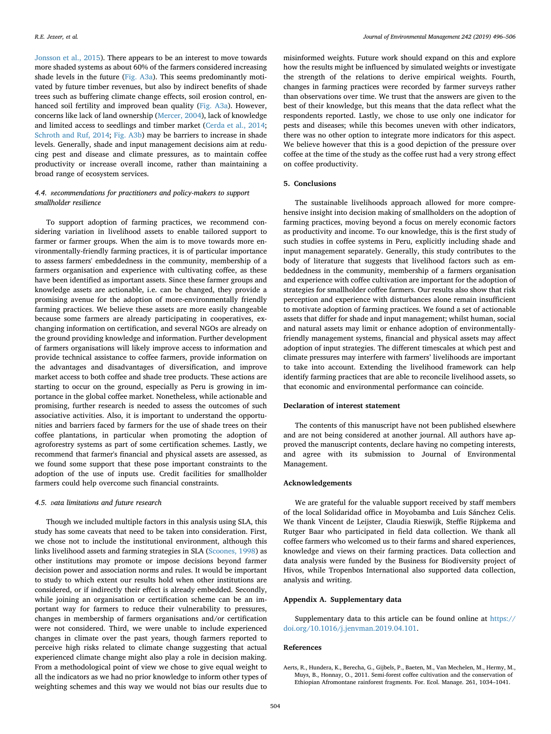[Jonsson et al., 2015\)](#page-9-55). There appears to be an interest to move towards more shaded systems as about 60% of the farmers considered increasing shade levels in the future (Fig. A3a). This seems predominantly motivated by future timber revenues, but also by indirect benefits of shade trees such as buffering climate change effects, soil erosion control, enhanced soil fertility and improved bean quality (Fig. A3a). However, concerns like lack of land ownership ([Mercer, 2004\)](#page-9-56), lack of knowledge and limited access to seedlings and timber market [\(Cerda et al., 2014](#page-9-57); [Schroth and Ruf, 2014](#page-10-1); Fig. A3b) may be barriers to increase in shade levels. Generally, shade and input management decisions aim at reducing pest and disease and climate pressures, as to maintain coffee productivity or increase overall income, rather than maintaining a broad range of ecosystem services.

## *4.4. Recommendations for practitioners and policy-makers to support smallholder resilience*

To support adoption of farming practices, we recommend considering variation in livelihood assets to enable tailored support to farmer or farmer groups. When the aim is to move towards more environmentally-friendly farming practices, it is of particular importance to assess farmers' embeddedness in the community, membership of a farmers organisation and experience with cultivating coffee, as these have been identified as important assets. Since these farmer groups and knowledge assets are actionable, i.e. can be changed, they provide a promising avenue for the adoption of more-environmentally friendly farming practices. We believe these assets are more easily changeable because some farmers are already participating in cooperatives, exchanging information on certification, and several NGOs are already on the ground providing knowledge and information. Further development of farmers organisations will likely improve access to information and provide technical assistance to coffee farmers, provide information on the advantages and disadvantages of diversification, and improve market access to both coffee and shade tree products. These actions are starting to occur on the ground, especially as Peru is growing in importance in the global coffee market. Nonetheless, while actionable and promising, further research is needed to assess the outcomes of such associative activities. Also, it is important to understand the opportunities and barriers faced by farmers for the use of shade trees on their coffee plantations, in particular when promoting the adoption of agroforestry systems as part of some certification schemes. Lastly, we recommend that farmer's financial and physical assets are assessed, as we found some support that these pose important constraints to the adoption of the use of inputs use. Credit facilities for smallholder farmers could help overcome such financial constraints.

#### *4.5. Data limitations and future research*

Though we included multiple factors in this analysis using SLA, this study has some caveats that need to be taken into consideration. First, we chose not to include the institutional environment, although this links livelihood assets and farming strategies in SLA ([Scoones, 1998](#page-10-8)) as other institutions may promote or impose decisions beyond farmer decision power and association norms and rules. It would be important to study to which extent our results hold when other institutions are considered, or if indirectly their effect is already embedded. Secondly, while joining an organisation or certification scheme can be an important way for farmers to reduce their vulnerability to pressures, changes in membership of farmers organisations and/or certification were not considered. Third, we were unable to include experienced changes in climate over the past years, though farmers reported to perceive high risks related to climate change suggesting that actual experienced climate change might also play a role in decision making. From a methodological point of view we chose to give equal weight to all the indicators as we had no prior knowledge to inform other types of weighting schemes and this way we would not bias our results due to misinformed weights. Future work should expand on this and explore how the results might be influenced by simulated weights or investigate the strength of the relations to derive empirical weights. Fourth, changes in farming practices were recorded by farmer surveys rather than observations over time. We trust that the answers are given to the best of their knowledge, but this means that the data reflect what the respondents reported. Lastly, we chose to use only one indicator for pests and diseases; while this becomes uneven with other indicators, there was no other option to integrate more indicators for this aspect. We believe however that this is a good depiction of the pressure over coffee at the time of the study as the coffee rust had a very strong effect on coffee productivity.

## **5. Conclusions**

The sustainable livelihoods approach allowed for more comprehensive insight into decision making of smallholders on the adoption of farming practices, moving beyond a focus on merely economic factors as productivity and income. To our knowledge, this is the first study of such studies in coffee systems in Peru, explicitly including shade and input management separately. Generally, this study contributes to the body of literature that suggests that livelihood factors such as embeddedness in the community, membership of a farmers organisation and experience with coffee cultivation are important for the adoption of strategies for smallholder coffee farmers. Our results also show that risk perception and experience with disturbances alone remain insufficient to motivate adoption of farming practices. We found a set of actionable assets that differ for shade and input management; whilst human, social and natural assets may limit or enhance adoption of environmentallyfriendly management systems, financial and physical assets may affect adoption of input strategies. The different timescales at which pest and climate pressures may interfere with farmers' livelihoods are important to take into account. Extending the livelihood framework can help identify farming practices that are able to reconcile livelihood assets, so that economic and environmental performance can coincide.

## **Declaration of interest statement**

The contents of this manuscript have not been published elsewhere and are not being considered at another journal. All authors have approved the manuscript contents, declare having no competing interests, and agree with its submission to Journal of Environmental Management.

## **Acknowledgements**

We are grateful for the valuable support received by staff members of the local Solidaridad office in Moyobamba and Luis Sánchez Celis. We thank Vincent de Leijster, Claudia Rieswijk, Steffie Rijpkema and Rutger Baar who participated in field data collection. We thank all coffee farmers who welcomed us to their farms and shared experiences, knowledge and views on their farming practices. Data collection and data analysis were funded by the Business for Biodiversity project of Hivos, while Tropenbos International also supported data collection, analysis and writing.

## **Appendix A. Supplementary data**

Supplementary data to this article can be found online at [https://](https://doi.org/10.1016/j.jenvman.2019.04.101) [doi.org/10.1016/j.jenvman.2019.04.101.](https://doi.org/10.1016/j.jenvman.2019.04.101)

#### **References**

<span id="page-8-0"></span>Aerts, R., Hundera, K., Berecha, G., Gijbels, P., Baeten, M., Van Mechelen, M., Hermy, M., Muys, B., Honnay, O., 2011. Semi-forest coffee cultivation and the conservation of Ethiopian Afromontane rainforest fragments. For. Ecol. Manage. 261, 1034–1041.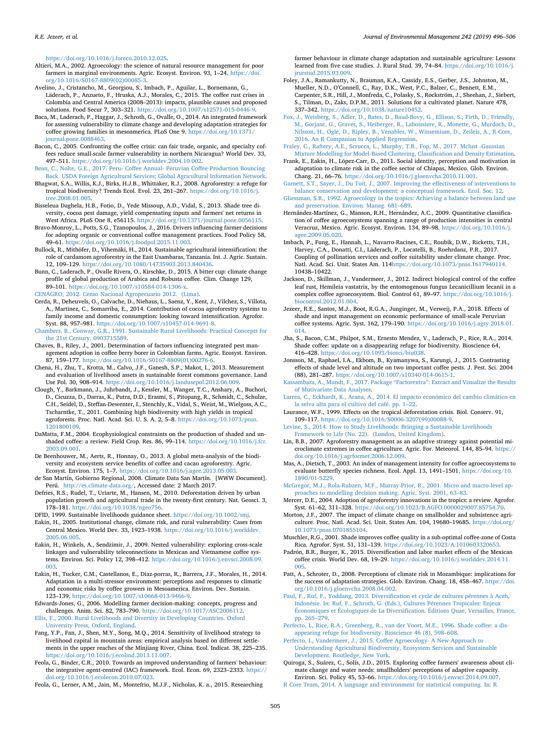<https://doi.org/10.1016/j.foreco.2010.12.025>.

- <span id="page-9-4"></span>Altieri, M.A., 2002. Agroecology: the science of natural resource management for poor farmers in marginal environments. Agric. Ecosyst. Environ. 93, 1-24. [https://doi.](https://doi.org/10.1016/S0167-8809(02)00085-3) [org/10.1016/S0167-8809\(02\)00085-3](https://doi.org/10.1016/S0167-8809(02)00085-3).
- <span id="page-9-10"></span>Avelino, J., Cristancho, M., Georgiou, S., Imbach, P., Aguilar, L., Bornemann, G., Läderach, P., Anzueto, F., Hruska, A.J., Morales, C., 2015. The coffee rust crises in Colombia and Central America (2008–2013): impacts, plausible causes and proposed solutions. Food Secur 7, 303–321. [https://doi.org/10.1007/s12571-015-0446-9.](https://doi.org/10.1007/s12571-015-0446-9)
- <span id="page-9-33"></span>Baca, M., Laderach, P., Haggar, J., Schroth, G., Ovalle, O., 2014. An integrated framework for assessing vulnerability to climate change and developing adaptation strategies for coffee growing families in mesoamerica. PLoS One 9. [https://doi.org/10.1371/](https://doi.org/10.1371/journal.pone.0088463) [journal.pone.0088463](https://doi.org/10.1371/journal.pone.0088463).
- <span id="page-9-8"></span>Bacon, C., 2005. Confronting the coffee crisis: can fair trade, organic, and specialty coffees reduce small-scale farmer vulnerability in northern Nicaragua? World Dev. 33, 497–511. [https://doi.org/10.1016/j.worlddev.2004.10.002.](https://doi.org/10.1016/j.worlddev.2004.10.002)
- <span id="page-9-50"></span>[Bean, C., Nolte, G.E., 2017. Peru- Coffee Annual- Peruvian Coffee Production Bouncing](http://refhub.elsevier.com/S0301-4797(19)30568-7/sref6) [Back. USDA Foreign Agricultural Services; Global Agricultural Information Network.](http://refhub.elsevier.com/S0301-4797(19)30568-7/sref6)
- <span id="page-9-47"></span>Bhagwat, S.A., Willis, K.J., Birks, H.J.B., Whittaker, R.J., 2008. Agroforestry: a refuge for tropical biodiversity? Trends Ecol. Evol. 23, 261–267. [https://doi.org/10.1016/j.](https://doi.org/10.1016/j.tree.2008.01.005) [tree.2008.01.005](https://doi.org/10.1016/j.tree.2008.01.005).
- <span id="page-9-39"></span>Bisseleua Daghela, H.B., Fotio, D., Yede Missoup, A.D., Vidal, S., 2013. Shade tree diversity, cocoa pest damage, yield compensating inputs and farmers' net returns in West Africa. PLoS One 8, e56115. [https://doi.org/10.1371/journal.pone.0056115.](https://doi.org/10.1371/journal.pone.0056115)
- <span id="page-9-17"></span>Bravo-Monroy, L., Potts, S.G., Tzanopoulos, J., 2016. Drivers influencing farmer decisions for adopting organic or conventional coffee management practices. Food Policy 58, 49–61. [https://doi.org/10.1016/j.foodpol.2015.11.003.](https://doi.org/10.1016/j.foodpol.2015.11.003)
- <span id="page-9-49"></span>Bullock, R., Mithöfer, D., Vihemäki, H., 2014. Sustainable agricultural intensification: the role of cardamom agroforestry in the East Usambaras, Tanzania. Int. J. Agric. Sustain. 12, 109–129. <https://doi.org/10.1080/14735903.2013.840436>.
- <span id="page-9-12"></span>Bunn, C., Laderach, P., Ovalle Rivera, O., Kirschke, D., 2015. A bitter cup: climate change profile of global production of Arabica and Robusta coffee. Clim. Change 129, 89–101. <https://doi.org/10.1007/s10584-014-1306-x>.

<span id="page-9-30"></span>[CENAGRO, 2012. Censo Nacional Agropecuario 2012. \(Lima\).](http://refhub.elsevier.com/S0301-4797(19)30568-7/sref12)

- <span id="page-9-57"></span>Cerda, R., Deheuvels, O., Calvache, D., Niehaus, L., Saenz, Y., Kent, J., Vilchez, S., Villota, A., Martinez, C., Somarriba, E., 2014. Contribution of cocoa agroforestry systems to family income and domestic consumption: looking toward intensification. Agrofor. Syst. 88, 957–981. [https://doi.org/10.1007/s10457-014-9691-8.](https://doi.org/10.1007/s10457-014-9691-8)
- <span id="page-9-29"></span>[Chambers, R., Conway, G.R., 1991. Sustainable Rural Livelihoods: Practical Concepts for](http://refhub.elsevier.com/S0301-4797(19)30568-7/sref14) [the 21st Century. 0903715589.](http://refhub.elsevier.com/S0301-4797(19)30568-7/sref14)
- <span id="page-9-18"></span>Chaves, B., Riley, J., 2001. Determination of factors influencing integrated pest management adoption in coffee berry borer in Colombian farms. Agric. Ecosyst. Environ. 87, 159–177. [https://doi.org/10.1016/S0167-8809\(01\)00276-6.](https://doi.org/10.1016/S0167-8809(01)00276-6)
- <span id="page-9-34"></span>Chena, H., Zhu, T., Krotta, M., Calvo, J.F., Ganesh, S.P., Makot, I., 2013. Measurement and evaluation of livelihood assets in sustainable forest commons governance. Land Use Pol. 30, 908–914. <https://doi.org/10.1016/j.landusepol.2012.06.009>. Clough, Y., Barkmann, J., Juhrbandt, J., Kessler, M., Wanger, T.C., Anshary, A., Buchori,
- <span id="page-9-0"></span>D., Cicuzza, D., Darras, K., Putra, D.D., Erasmi, S., Pitopang, R., Schmidt, C., Schulze, C.H., Seidel, D., Steffan-Dewenter, I., Stenchly, K., Vidal, S., Weist, M., Wielgoss, A.C., Tscharntke, T., 2011. Combining high biodiversity with high yields in tropical agroforests. Proc. Natl. Acad. Sci. U. S. A. 2, 5–8. [https://doi.org/10.1073/pnas.](https://doi.org/10.1073/pnas.1201800109) [1201800109](https://doi.org/10.1073/pnas.1201800109).
- <span id="page-9-53"></span>DaMatta, F.M., 2004. Ecophysiological constraints on the production of shaded and unshaded coffee: a review. Field Crop. Res. 86, 99–114. [https://doi.org/10.1016/j.fcr.](https://doi.org/10.1016/j.fcr.2003.09.001) [2003.09.001](https://doi.org/10.1016/j.fcr.2003.09.001).
- <span id="page-9-48"></span>De Beenhouwer, M., Aerts, R., Honnay, O., 2013. A global meta-analysis of the biodiversity and ecosystem service benefits of coffee and cacao agroforestry. Agric. Ecosyst. Environ. 175, 1–7. <https://doi.org/10.1016/j.agee.2013.05.003>.
- <span id="page-9-31"></span>de San Martín, Gobierno Regional, 2008. Climate Data San Martín. [WWW Document]. Perú. [http://es.climate-data.org/,](http://es.climate-data.org/) Accessed date: 2 March 2017.
- <span id="page-9-5"></span>Defries, R.S., Rudel, T., Uriarte, M., Hansen, M., 2010. Deforestation driven by urban population growth and agricultural trade in the twenty-first century. Nat. Geosci. 3, 178–181. <https://doi.org/10.1038/ngeo756>.
- <span id="page-9-26"></span>DFID, 1999. Sustainable livelihoods guidance sheet. <https://doi.org/10.1002/smj>.
- <span id="page-9-51"></span>Eakin, H., 2005. Institutional change, climate risk, and rural vulnerability: Cases from Central Mexico. World Dev. 33, 1923–1938. [https://doi.org/10.1016/j.worlddev.](https://doi.org/10.1016/j.worlddev.2005.06.005) [2005.06.005](https://doi.org/10.1016/j.worlddev.2005.06.005).
- <span id="page-9-24"></span>Eakin, H., Winkels, A., Sendzimir, J., 2009. Nested vulnerability: exploring cross-scale linkages and vulnerability teleconnections in Mexican and Vietnamese coffee systems. Environ. Sci. Policy 12, 398–412. [https://doi.org/10.1016/j.envsci.2008.09.](https://doi.org/10.1016/j.envsci.2008.09.003) [003](https://doi.org/10.1016/j.envsci.2008.09.003).
- <span id="page-9-9"></span>Eakin, H., Tucker, C.M., Castellanos, E., Diaz-porras, R., Barrera, J.F., Morales, H., 2014. Adaptation in a multi-stressor environment: perceptions and responses to climatic and economic risks by coffee growers in Mesoamerica. Environ. Dev. Sustain. 123–139. <https://doi.org/10.1007/s10668-013-9466-9>.
- <span id="page-9-16"></span>Edwards-Jones, G., 2006. Modelling farmer decision-making: concepts, progress and challenges. Anim. Sci. 82, 783–790. <https://doi.org/10.1017/ASC2006112>.
- <span id="page-9-28"></span>[Ellis, F., 2000. Rural Livelihoods and Diversity in Developing Countries. Oxford](http://refhub.elsevier.com/S0301-4797(19)30568-7/sref27) [University Press, Oxford, England.](http://refhub.elsevier.com/S0301-4797(19)30568-7/sref27)
- <span id="page-9-35"></span>Fang, Y.P., Fan, J., Shen, M.Y., Song, M.Q., 2014. Sensitivity of livelihood strategy to livelihood capital in mountain areas: empirical analysis based on different settlements in the upper reaches of the Minjiang River, China. Ecol. Indicat. 38, 225–235. <https://doi.org/10.1016/j.ecolind.2013.11.007>.
- <span id="page-9-14"></span>Feola, G., Binder, C.R., 2010. Towards an improved understanding of farmers' behaviour: the integrative agent-centred (IAC) framework. Ecol. Econ. 69, 2323–2333. [https://](https://doi.org/10.1016/j.ecolecon.2010.07.023) [doi.org/10.1016/j.ecolecon.2010.07.023](https://doi.org/10.1016/j.ecolecon.2010.07.023).

<span id="page-9-20"></span>Feola, G., Lerner, A.M., Jain, M., Montefrio, M.J.F., Nicholas, K. a., 2015. Researching

farmer behaviour in climate change adaptation and sustainable agriculture: Lessons learned from five case studies. J. Rural Stud. 39, 74–84. [https://doi.org/10.1016/j.](https://doi.org/10.1016/j.jrurstud.2015.03.009) [jrurstud.2015.03.009.](https://doi.org/10.1016/j.jrurstud.2015.03.009)

- <span id="page-9-1"></span>Foley, J.A., Ramankutty, N., Brauman, K.A., Cassidy, E.S., Gerber, J.S., Johnston, M., Mueller, N.D., O'Connell, C., Ray, D.K., West, P.C., Balzer, C., Bennett, E.M., Carpenter, S.R., Hill, J., Monfreda, C., Polasky, S., Rockström, J., Sheehan, J., Siebert, S., Tilman, D., Zaks, D.P.M., 2011. Solutions for a cultivated planet. Nature 478, 337–342. <https://doi.org/10.1038/nature10452>.
- <span id="page-9-45"></span>[Fox, J., Weisberg, S., Adler, D., Bates, D., Baud-Bovy, G., Ellison, S., Firth, D., Friendly,](http://refhub.elsevier.com/S0301-4797(19)30568-7/sref32) [M., Gorjanc, G., Graves, S., Heiberger, R., Laboissiere, R., Monette, G., Murdoch, D.,](http://refhub.elsevier.com/S0301-4797(19)30568-7/sref32) [Nilsson, H., Ogle, D., Ripley, B., Venables, W., Winsemium, D., Zeileis, A., R-Core,](http://refhub.elsevier.com/S0301-4797(19)30568-7/sref32) [2016. An R Companian to Applied Regression.](http://refhub.elsevier.com/S0301-4797(19)30568-7/sref32)
- <span id="page-9-43"></span>[Fraley, C., Raftery, A.E., Scrucca, L., Murphy, T.B., Fop, M., 2017. Mclust -Gaussian](http://refhub.elsevier.com/S0301-4797(19)30568-7/sref33) [Mixture Modelling for Model-Based Clustering, Classification and Density Estimation.](http://refhub.elsevier.com/S0301-4797(19)30568-7/sref33)
- <span id="page-9-38"></span>Frank, E., Eakin, H., López-Carr, D., 2011. Social identity, perception and motivation in adaptation to climate risk in the coffee sector of Chiapas, Mexico. Glob. Environ. Chang. 21, 66–76. [https://doi.org/10.1016/j.gloenvcha.2010.11.001.](https://doi.org/10.1016/j.gloenvcha.2010.11.001)
- <span id="page-9-36"></span>[Garnett, S.T., Sayer, J., Du Toit, J., 2007. Improving the effectiveness of interventions to](http://refhub.elsevier.com/S0301-4797(19)30568-7/sref35) [balance conservation and development: a conceptual framework. Ecol. Soc. 12.](http://refhub.elsevier.com/S0301-4797(19)30568-7/sref35)
- <span id="page-9-3"></span>[Gliessman, S.R., 1992. Agroecology in the tropics: Achieving a balance between land use](http://refhub.elsevier.com/S0301-4797(19)30568-7/sref36) [and preservation. Environ. Manag. 681–689.](http://refhub.elsevier.com/S0301-4797(19)30568-7/sref36)
- <span id="page-9-40"></span>Hernández-Martínez, G., Manson, R.H., Hernández, A.C., 2009. Quantitative classification of coffee agroecosystems spanning a range of production intensities in central Veracruz, Mexico. Agric. Ecosyst. Environ. 134, 89–98. [https://doi.org/10.1016/j.](https://doi.org/10.1016/j.agee.2009.05.020) [agee.2009.05.020](https://doi.org/10.1016/j.agee.2009.05.020).
- <span id="page-9-11"></span>Imbach, P., Fung, E., Hannah, L., Navarro-Racines, C.E., Roubik, D.W., Ricketts, T.H., Harvey, C.A., Donatti, C.I., Läderach, P., Locatelli, B., Roehrdanz, P.R., 2017. Coupling of pollination services and coffee suitability under climate change. Proc. Natl. Acad. Sci. Unit. States Am. 114[https://doi.org/10.1073/pnas.1617940114.](https://doi.org/10.1073/pnas.1617940114) [10438–10422.](https://doi.org/10.1073/pnas.1617940114)
- <span id="page-9-54"></span>Jackson, D., Skillman, J., Vandermeer, J., 2012. Indirect biological control of the coffee leaf rust, Hemileia vastatrix, by the entomogenous fungus Lecanicillium lecanii in a complex coffee agroecosystem. Biol. Control 61, 89–97. [https://doi.org/10.1016/j.](https://doi.org/10.1016/j.biocontrol.2012.01.004) [biocontrol.2012.01.004](https://doi.org/10.1016/j.biocontrol.2012.01.004).
- <span id="page-9-25"></span>Jezeer, R.E., Santos, M.J., Boot, R.G.A., Junginger, M., Verweij, P.A., 2018. Effects of shade and input management on economic performance of small-scale Peruvian coffee systems. Agric. Syst. 162, 179–190. [https://doi.org/10.1016/j.agsy.2018.01.](https://doi.org/10.1016/j.agsy.2018.01.014) [014](https://doi.org/10.1016/j.agsy.2018.01.014).
- <span id="page-9-7"></span>Jha, S., Bacon, C.M., Philpot, S.M., Ernesto Mendez, V., Laderach, P., Rice, R.A., 2014. Shade coffee: update on a disappearing refuge for biodiversity. Bioscience 64, 416–428. <https://doi.org/10.1093/biosci/biu038>.
- <span id="page-9-55"></span>Jonsson, M., Raphael, I.A., Ekbom, B., Kyamanywa, S., Karungi, J., 2015. Contrasting effects of shade level and altitude on two important coffee pests. J. Pest. Sci. 2004 (88), 281–287. <https://doi.org/10.1007/s10340-014-0615-1>.
- <span id="page-9-44"></span>[Kassambara, A., Mundt, F., 2017. Package "Factorextra": Extract and Visualize the Results](http://refhub.elsevier.com/S0301-4797(19)30568-7/sref43) [of Mutivariate Data Analyses](http://refhub.elsevier.com/S0301-4797(19)30568-7/sref43).
- <span id="page-9-27"></span>[Larrea, C., Eckhardt, K., Arana, A., 2014. El impacto económico del cambio climático en](http://refhub.elsevier.com/S0301-4797(19)30568-7/sref44) [la selva alta para el cultivo del café. pp. 1–22](http://refhub.elsevier.com/S0301-4797(19)30568-7/sref44).
- <span id="page-9-6"></span>Laurance, W.F., 1999. Effects on the tropical deforestation crisis. Biol. Conserv. 91, 109–117. [https://doi.org/10.1016/S0006-3207\(99\)00088-9.](https://doi.org/10.1016/S0006-3207(99)00088-9)
- <span id="page-9-21"></span>[Levine, S., 2014. How to Study Livelihoods: Bringing a Sustainable Livelihoods](http://refhub.elsevier.com/S0301-4797(19)30568-7/sref46) [Framework to Life \(No. 22\). \(London, United Kingdom\).](http://refhub.elsevier.com/S0301-4797(19)30568-7/sref46)
- <span id="page-9-52"></span>Lin, B.B., 2007. Agroforestry management as an adaptive strategy against potential microclimate extremes in coffee agriculture. Agric. For. Meteorol. 144, 85–94. [https://](https://doi.org/10.1016/j.agrformet.2006.12.009) [doi.org/10.1016/j.agrformet.2006.12.009](https://doi.org/10.1016/j.agrformet.2006.12.009).
- <span id="page-9-41"></span>Mas, A., Dietsch, T., 2003. An index of management intensity for coffee agroecosystems to evaluate butterfly species richness. Ecol. Appl. 13, 1491–1501. [https://doi.org/10.](https://doi.org/10.1890/01-5229) [1890/01-5229.](https://doi.org/10.1890/01-5229)
- <span id="page-9-15"></span>[McGregor, M.J., Rola-Rubzen, M.F., Murray-Prior, R., 2001. Micro and macro-level ap](http://refhub.elsevier.com/S0301-4797(19)30568-7/sref48)[proaches to modelling decision making. Agric. Syst. 2001, 63–83](http://refhub.elsevier.com/S0301-4797(19)30568-7/sref48).
- <span id="page-9-56"></span>Mercer, D.E., 2004. Adoption of agroforestry innovations in the tropics: a review. Agrofor. Syst. 61–62, 311–328. [https://doi.org/10.1023/B:AGFO.0000029007.85754.70.](https://doi.org/10.1023/B:AGFO.0000029007.85754.70)
- <span id="page-9-2"></span>Morton, J.F., 2007. The impact of climate change on smallholder and subsistence agriculture. Proc. Natl. Acad. Sci. Unit. States Am. 104, 19680–19685. [https://doi.org/](https://doi.org/10.1073/pnas.0701855104) [10.1073/pnas.0701855104.](https://doi.org/10.1073/pnas.0701855104)
- <span id="page-9-46"></span>Muschler, R.G., 2001. Shade improves coffee quality in a sub-optimal coffee-zone of Costa Rica. Agrofor. Syst. 51, 131–139. [https://doi.org/10.1023/A:1010603320653.](https://doi.org/10.1023/A:1010603320653)
- <span id="page-9-23"></span>Padrón, B.R., Burger, K., 2015. Diversification and labor market effects of the Mexican coffee crisis. World Dev. 68, 19–29. [https://doi.org/10.1016/j.worlddev.2014.11.](https://doi.org/10.1016/j.worlddev.2014.11.005) [005](https://doi.org/10.1016/j.worlddev.2014.11.005).
- <span id="page-9-37"></span>Patt, A., Schroter, D., 2008. Perceptions of climate risk in Mozambique: implications for the success of adaptation strategies. Glob. Environ. Chang. 18, 458–467. [https://doi.](https://doi.org/10.1016/j.gloenvcha.2008.04.002) [org/10.1016/j.gloenvcha.2008.04.002](https://doi.org/10.1016/j.gloenvcha.2008.04.002).
- <span id="page-9-22"></span>[Paul, F., Ruf, F., Yoddang, 2013. Diversification et cycle de cultures pérennes à Aceh,](http://refhub.elsevier.com/S0301-4797(19)30568-7/sref54) [Indonésie. In: Ruf, F., Schroth, G. \(Eds.\), Cultures Pérennes Tropicales: Enjeux](http://refhub.elsevier.com/S0301-4797(19)30568-7/sref54) [Économiques et Écologiques de La Diversification. Éditions Quae, Versailles, France,](http://refhub.elsevier.com/S0301-4797(19)30568-7/sref54) [pp. 265–279](http://refhub.elsevier.com/S0301-4797(19)30568-7/sref54).
- <span id="page-9-32"></span>[Perfecto, I., Rice, R.A., Greenberg, R., van der Voort, M.E., 1996. Shade coffee: a dis](http://refhub.elsevier.com/S0301-4797(19)30568-7/sref55)[appearing refuge for biodiversity. Bioscience 46 \(8\), 598–608](http://refhub.elsevier.com/S0301-4797(19)30568-7/sref55).
- <span id="page-9-13"></span>[Perfecto, I., Vandermeer, J., 2015. Coffee Agroecology- A New Approach to](http://refhub.elsevier.com/S0301-4797(19)30568-7/sref56) [Understanding Agricultural Biodiversity, Ecosystem Services and Sustainable](http://refhub.elsevier.com/S0301-4797(19)30568-7/sref56) [Development. Routledge, New York](http://refhub.elsevier.com/S0301-4797(19)30568-7/sref56).
- <span id="page-9-19"></span>Quiroga, S., Suárez, C., Solís, J.D., 2015. Exploring coffee farmers' awareness about climate change and water needs: smallholders' perceptions of adaptive capacity. Environ. Sci. Policy 45, 53–66. <https://doi.org/10.1016/j.envsci.2014.09.007>.
- <span id="page-9-42"></span>[R Core Team, 2014. A language and environment for statistical computing. In: R](http://refhub.elsevier.com/S0301-4797(19)30568-7/sref58)